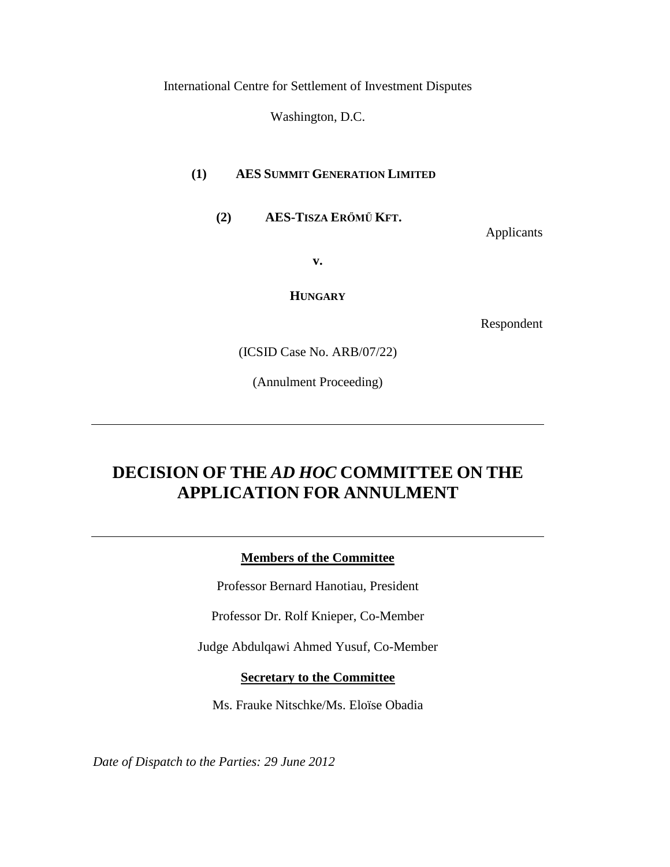International Centre for Settlement of Investment Disputes

Washington, D.C.

## **(1) AES SUMMIT GENERATION LIMITED**

**(2) AES-TISZA ERŐMŰ KFT.**

Applicants

**v.**

**HUNGARY**

Respondent

(ICSID Case No. ARB/07/22)

(Annulment Proceeding)

# **DECISION OF THE** *AD HOC* **COMMITTEE ON THE APPLICATION FOR ANNULMENT**

**Members of the Committee**

Professor Bernard Hanotiau, President

Professor Dr. Rolf Knieper, Co-Member

Judge Abdulqawi Ahmed Yusuf, Co-Member

## **Secretary to the Committee**

Ms. Frauke Nitschke/Ms. Eloïse Obadia

*Date of Dispatch to the Parties: 29 June 2012*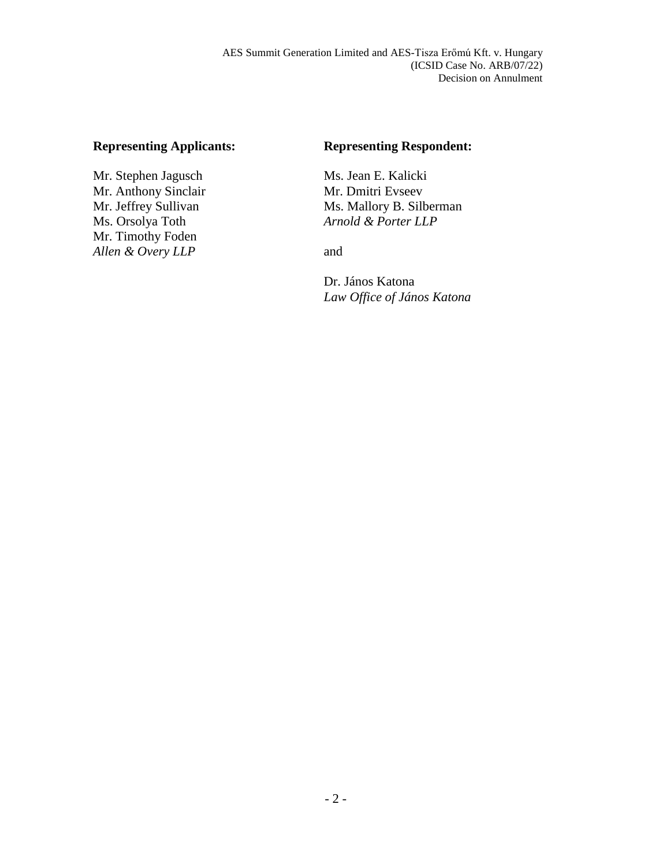## **Representing Applicants:**

Mr. Stephen Jagusch Mr. Anthony Sinclair Mr. Jeffrey Sullivan Ms. Orsolya Toth Mr. Timothy Foden *Allen & Overy LLP*

## **Representing Respondent:**

Ms. Jean E. Kalicki Mr. Dmitri Evseev Ms. Mallory B. Silberman *Arnold & Porter LLP*

and

Dr. János Katona *Law Office of János Katona*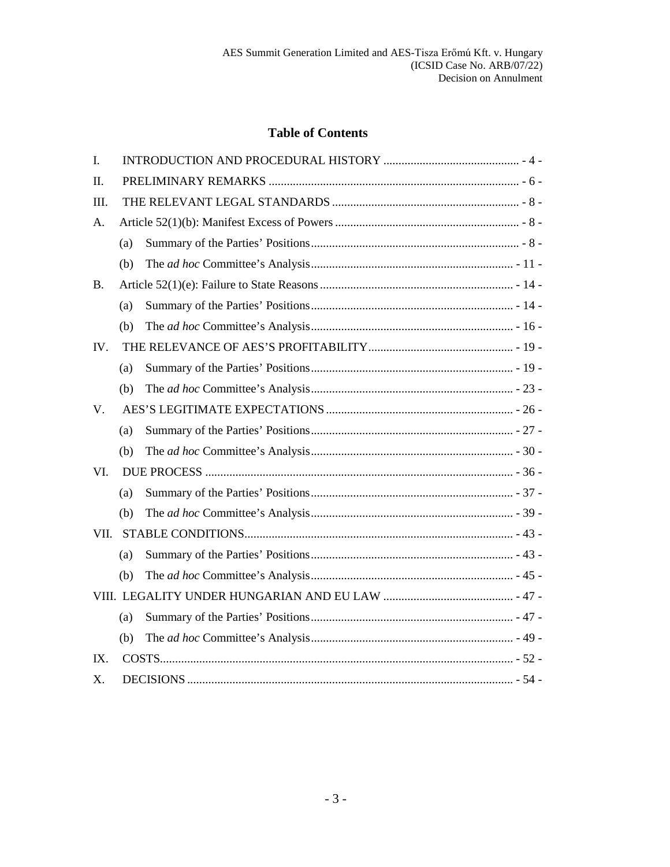# **Table of Contents**

| I.        |     |  |
|-----------|-----|--|
| II.       |     |  |
| Ш.        |     |  |
| A.        |     |  |
|           | (a) |  |
|           | (b) |  |
| <b>B.</b> |     |  |
|           | (a) |  |
|           | (b) |  |
| IV.       |     |  |
|           | (a) |  |
|           | (b) |  |
| V.        |     |  |
|           | (a) |  |
|           | (b) |  |
| VI.       |     |  |
|           | (a) |  |
|           | (b) |  |
| VII.      |     |  |
|           | (a) |  |
|           | (b) |  |
|           |     |  |
|           | (a) |  |
|           | (b) |  |
| $IX_{-}$  |     |  |
| X.        |     |  |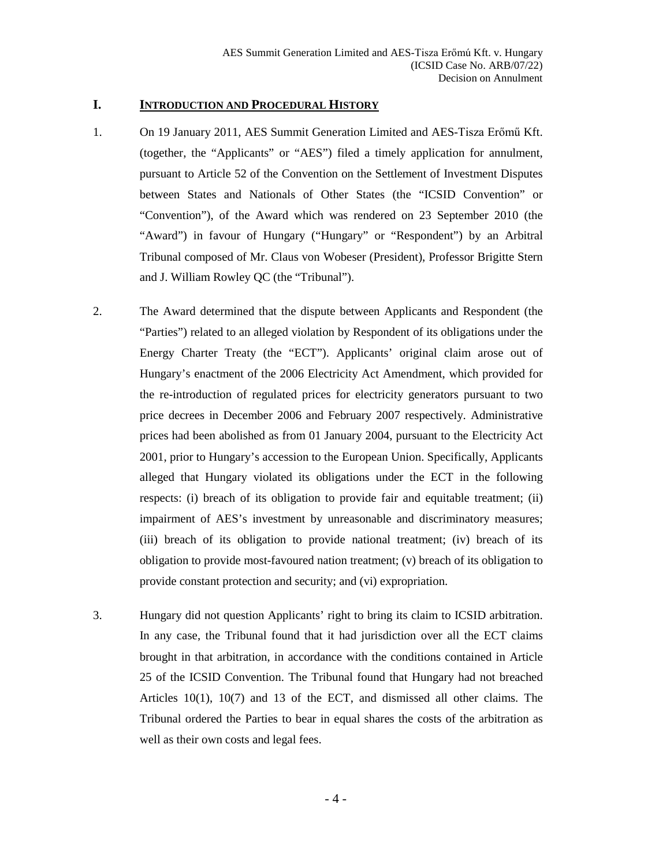#### <span id="page-3-0"></span>**I. INTRODUCTION AND PROCEDURAL HISTORY**

- 1. On 19 January 2011, AES Summit Generation Limited and AES-Tisza Erőmű Kft. (together, the "Applicants" or "AES") filed a timely application for annulment, pursuant to Article 52 of the Convention on the Settlement of Investment Disputes between States and Nationals of Other States (the "ICSID Convention" or "Convention"), of the Award which was rendered on 23 September 2010 (the "Award") in favour of Hungary ("Hungary" or "Respondent") by an Arbitral Tribunal composed of Mr. Claus von Wobeser (President), Professor Brigitte Stern and J. William Rowley QC (the "Tribunal").
- 2. The Award determined that the dispute between Applicants and Respondent (the "Parties") related to an alleged violation by Respondent of its obligations under the Energy Charter Treaty (the "ECT"). Applicants' original claim arose out of Hungary's enactment of the 2006 Electricity Act Amendment, which provided for the re-introduction of regulated prices for electricity generators pursuant to two price decrees in December 2006 and February 2007 respectively. Administrative prices had been abolished as from 01 January 2004, pursuant to the Electricity Act 2001, prior to Hungary's accession to the European Union. Specifically, Applicants alleged that Hungary violated its obligations under the ECT in the following respects: (i) breach of its obligation to provide fair and equitable treatment; (ii) impairment of AES's investment by unreasonable and discriminatory measures; (iii) breach of its obligation to provide national treatment; (iv) breach of its obligation to provide most-favoured nation treatment; (v) breach of its obligation to provide constant protection and security; and (vi) expropriation.
- 3. Hungary did not question Applicants' right to bring its claim to ICSID arbitration. In any case, the Tribunal found that it had jurisdiction over all the ECT claims brought in that arbitration, in accordance with the conditions contained in Article 25 of the ICSID Convention. The Tribunal found that Hungary had not breached Articles 10(1), 10(7) and 13 of the ECT, and dismissed all other claims. The Tribunal ordered the Parties to bear in equal shares the costs of the arbitration as well as their own costs and legal fees.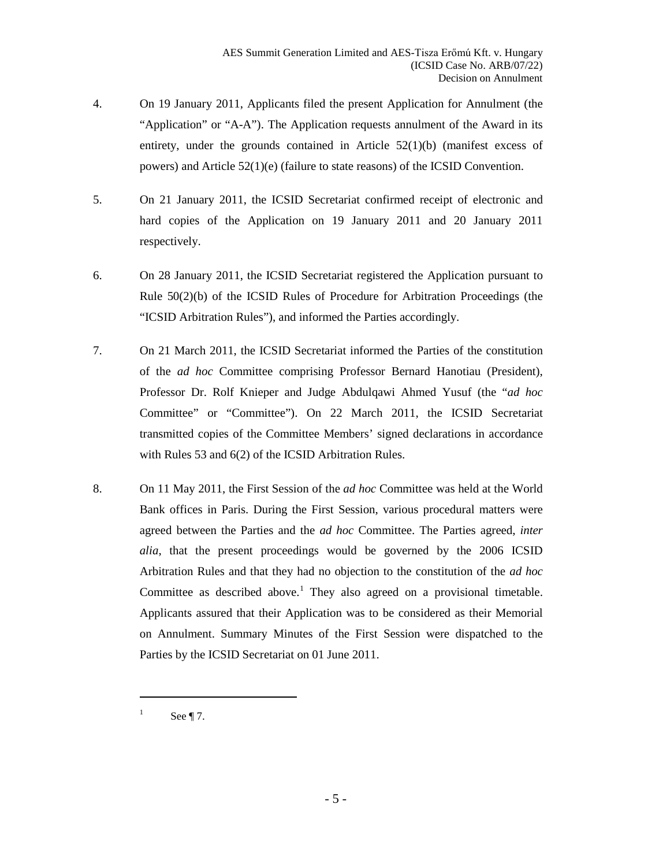- 4. On 19 January 2011, Applicants filed the present Application for Annulment (the "Application" or "A-A"). The Application requests annulment of the Award in its entirety, under the grounds contained in Article 52(1)(b) (manifest excess of powers) and Article 52(1)(e) (failure to state reasons) of the ICSID Convention.
- 5. On 21 January 2011, the ICSID Secretariat confirmed receipt of electronic and hard copies of the Application on 19 January 2011 and 20 January 2011 respectively.
- 6. On 28 January 2011, the ICSID Secretariat registered the Application pursuant to Rule 50(2)(b) of the ICSID Rules of Procedure for Arbitration Proceedings (the "ICSID Arbitration Rules"), and informed the Parties accordingly.
- <span id="page-4-0"></span>7. On 21 March 2011, the ICSID Secretariat informed the Parties of the constitution of the *ad hoc* Committee comprising Professor Bernard Hanotiau (President), Professor Dr. Rolf Knieper and Judge Abdulqawi Ahmed Yusuf (the "*ad hoc*  Committee" or "Committee"). On 22 March 2011, the ICSID Secretariat transmitted copies of the Committee Members' signed declarations in accordance with Rules 53 and 6(2) of the ICSID Arbitration Rules.
- 8. On 11 May 2011, the First Session of the *ad hoc* Committee was held at the World Bank offices in Paris. During the First Session, various procedural matters were agreed between the Parties and the *ad hoc* Committee. The Parties agreed, *inter alia*, that the present proceedings would be governed by the 2006 ICSID Arbitration Rules and that they had no objection to the constitution of the *ad hoc* Committee as described above.<sup>[1](#page-4-1)</sup> They also agreed on a provisional timetable. Applicants assured that their Application was to be considered as their Memorial on Annulment. Summary Minutes of the First Session were dispatched to the Parties by the ICSID Secretariat on 01 June 2011.

<span id="page-4-1"></span><sup>&</sup>lt;sup>1</sup> See ¶ [7.](#page-4-0)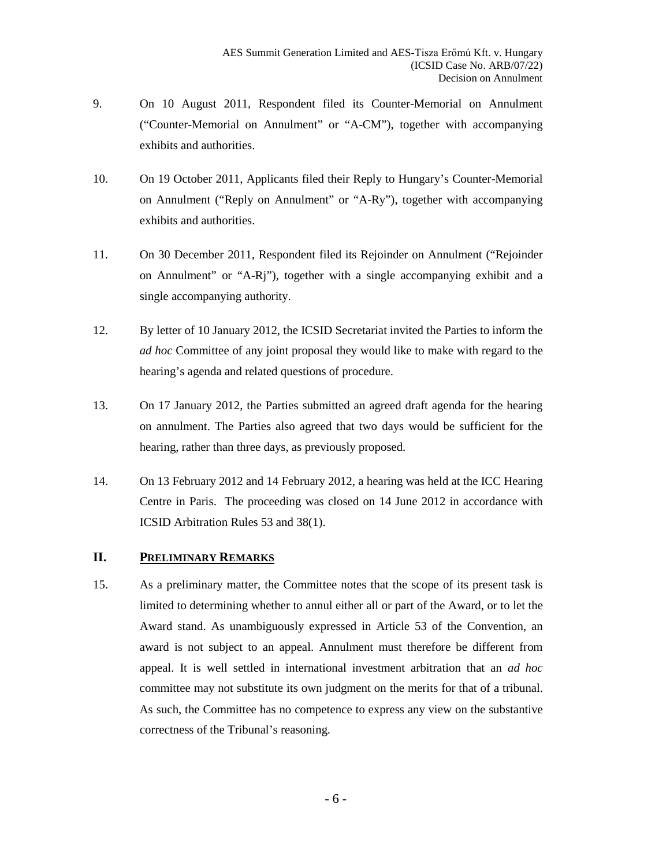- 9. On 10 August 2011, Respondent filed its Counter-Memorial on Annulment ("Counter-Memorial on Annulment" or "A-CM"), together with accompanying exhibits and authorities.
- 10. On 19 October 2011, Applicants filed their Reply to Hungary's Counter-Memorial on Annulment ("Reply on Annulment" or "A-Ry"), together with accompanying exhibits and authorities.
- 11. On 30 December 2011, Respondent filed its Rejoinder on Annulment ("Rejoinder on Annulment" or "A-Rj"), together with a single accompanying exhibit and a single accompanying authority.
- 12. By letter of 10 January 2012, the ICSID Secretariat invited the Parties to inform the *ad hoc* Committee of any joint proposal they would like to make with regard to the hearing's agenda and related questions of procedure.
- 13. On 17 January 2012, the Parties submitted an agreed draft agenda for the hearing on annulment. The Parties also agreed that two days would be sufficient for the hearing, rather than three days, as previously proposed.
- 14. On 13 February 2012 and 14 February 2012, a hearing was held at the ICC Hearing Centre in Paris. The proceeding was closed on 14 June 2012 in accordance with ICSID Arbitration Rules 53 and 38(1).

## <span id="page-5-0"></span>**II. PRELIMINARY REMARKS**

15. As a preliminary matter, the Committee notes that the scope of its present task is limited to determining whether to annul either all or part of the Award, or to let the Award stand. As unambiguously expressed in Article 53 of the Convention, an award is not subject to an appeal. Annulment must therefore be different from appeal. It is well settled in international investment arbitration that an *ad hoc*  committee may not substitute its own judgment on the merits for that of a tribunal. As such, the Committee has no competence to express any view on the substantive correctness of the Tribunal's reasoning.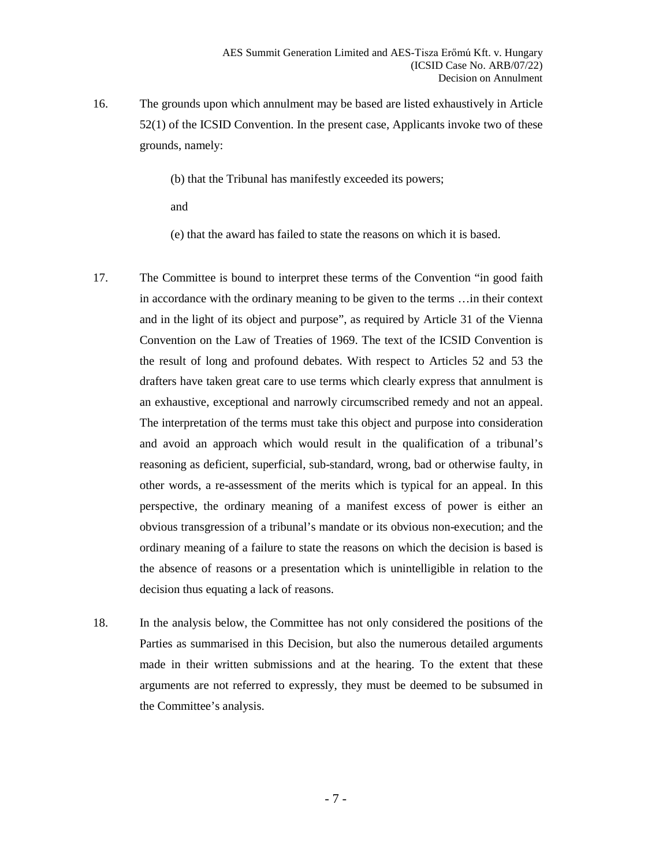16. The grounds upon which annulment may be based are listed exhaustively in Article 52(1) of the ICSID Convention. In the present case, Applicants invoke two of these grounds, namely:

(b) that the Tribunal has manifestly exceeded its powers;

and

(e) that the award has failed to state the reasons on which it is based.

- 17. The Committee is bound to interpret these terms of the Convention "in good faith in accordance with the ordinary meaning to be given to the terms …in their context and in the light of its object and purpose", as required by Article 31 of the Vienna Convention on the Law of Treaties of 1969. The text of the ICSID Convention is the result of long and profound debates. With respect to Articles 52 and 53 the drafters have taken great care to use terms which clearly express that annulment is an exhaustive, exceptional and narrowly circumscribed remedy and not an appeal. The interpretation of the terms must take this object and purpose into consideration and avoid an approach which would result in the qualification of a tribunal's reasoning as deficient, superficial, sub-standard, wrong, bad or otherwise faulty, in other words, a re-assessment of the merits which is typical for an appeal. In this perspective, the ordinary meaning of a manifest excess of power is either an obvious transgression of a tribunal's mandate or its obvious non-execution; and the ordinary meaning of a failure to state the reasons on which the decision is based is the absence of reasons or a presentation which is unintelligible in relation to the decision thus equating a lack of reasons.
- 18. In the analysis below, the Committee has not only considered the positions of the Parties as summarised in this Decision, but also the numerous detailed arguments made in their written submissions and at the hearing. To the extent that these arguments are not referred to expressly, they must be deemed to be subsumed in the Committee's analysis.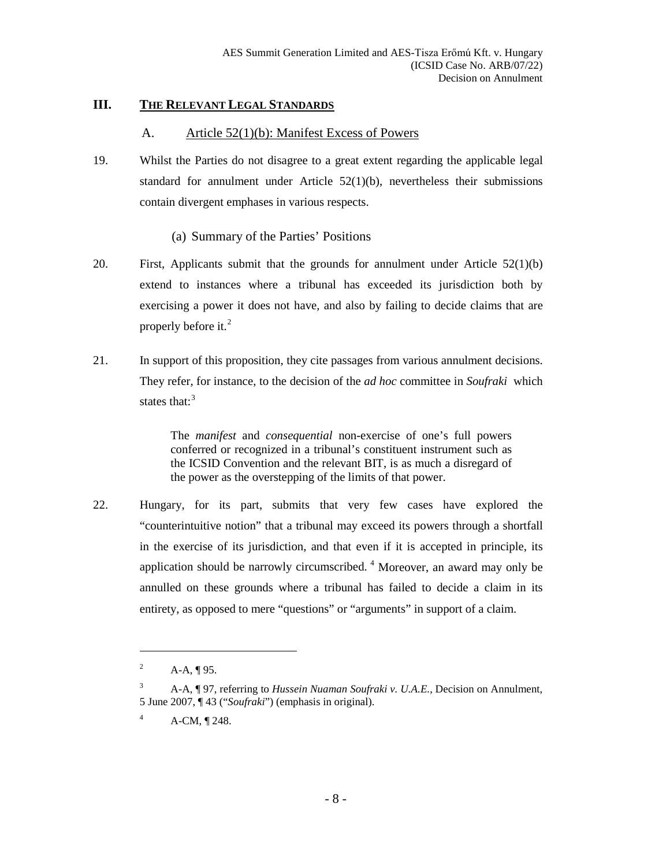## <span id="page-7-1"></span><span id="page-7-0"></span>**III. THE RELEVANT LEGAL STANDARDS**

#### A. Article 52(1)(b): Manifest Excess of Powers

- 19. Whilst the Parties do not disagree to a great extent regarding the applicable legal standard for annulment under Article 52(1)(b), nevertheless their submissions contain divergent emphases in various respects.
	- (a) Summary of the Parties' Positions
- <span id="page-7-2"></span>20. First, Applicants submit that the grounds for annulment under Article 52(1)(b) extend to instances where a tribunal has exceeded its jurisdiction both by exercising a power it does not have, and also by failing to decide claims that are properly before it.<sup>[2](#page-7-3)</sup>
- <span id="page-7-6"></span>21. In support of this proposition, they cite passages from various annulment decisions. They refer, for instance, to the decision of the *ad hoc* committee in *Soufraki* which states that:<sup>[3](#page-7-4)</sup>

The *manifest* and *consequential* non-exercise of one's full powers conferred or recognized in a tribunal's constituent instrument such as the ICSID Convention and the relevant BIT, is as much a disregard of the power as the overstepping of the limits of that power.

22. Hungary, for its part, submits that very few cases have explored the "counterintuitive notion" that a tribunal may exceed its powers through a shortfall in the exercise of its jurisdiction, and that even if it is accepted in principle, its application should be narrowly circumscribed.<sup> $4$ </sup> Moreover, an award may only be annulled on these grounds where a tribunal has failed to decide a claim in its entirety, as opposed to mere "questions" or "arguments" in support of a claim.

<sup>&</sup>lt;sup>2</sup> A-A, ¶ 95.

<span id="page-7-4"></span><span id="page-7-3"></span><sup>3</sup> A-A, ¶ 97, referring to *Hussein Nuaman Soufraki v. U.A.E.*, Decision on Annulment, 5 June 2007, ¶ 43 ("*Soufraki*") (emphasis in original).

<span id="page-7-5"></span> $^{4}$  A-CM,  $\P$  248.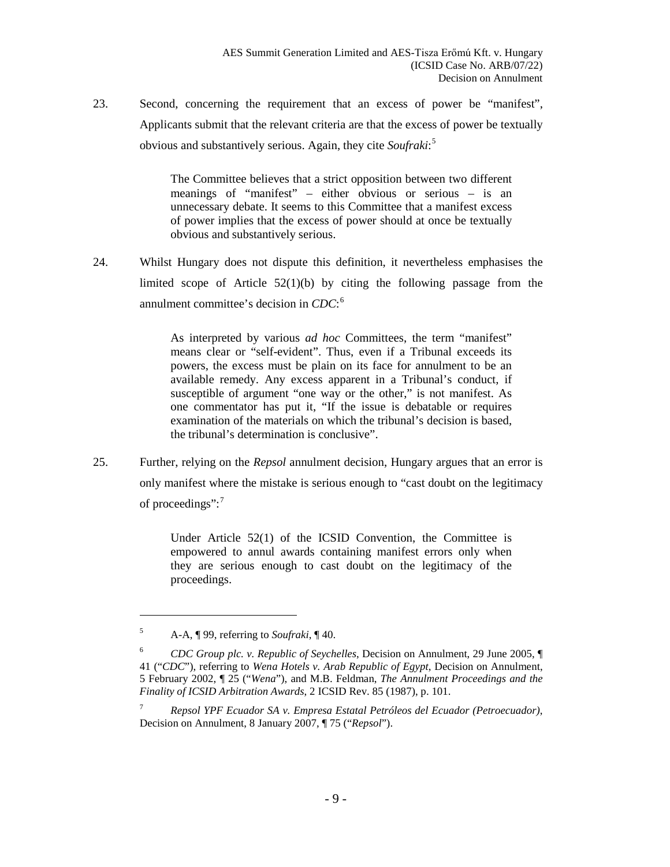23. Second, concerning the requirement that an excess of power be "manifest", Applicants submit that the relevant criteria are that the excess of power be textually obvious and substantively serious. Again, they cite *Soufraki*: [5](#page-8-0)

> The Committee believes that a strict opposition between two different meanings of "manifest" – either obvious or serious – is an unnecessary debate. It seems to this Committee that a manifest excess of power implies that the excess of power should at once be textually obvious and substantively serious.

24. Whilst Hungary does not dispute this definition, it nevertheless emphasises the limited scope of Article 52(1)(b) by citing the following passage from the annulment committee's decision in *CDC*: [6](#page-8-1)

> As interpreted by various *ad hoc* Committees, the term "manifest" means clear or "self-evident". Thus, even if a Tribunal exceeds its powers, the excess must be plain on its face for annulment to be an available remedy. Any excess apparent in a Tribunal's conduct, if susceptible of argument "one way or the other," is not manifest. As one commentator has put it, "If the issue is debatable or requires examination of the materials on which the tribunal's decision is based, the tribunal's determination is conclusive".

25. Further, relying on the *Repsol* annulment decision, Hungary argues that an error is only manifest where the mistake is serious enough to "cast doubt on the legitimacy of proceedings":<sup>[7](#page-8-2)</sup>

> Under Article 52(1) of the ICSID Convention, the Committee is empowered to annul awards containing manifest errors only when they are serious enough to cast doubt on the legitimacy of the proceedings.

<span id="page-8-0"></span><sup>5</sup> A-A, ¶ 99, referring to *Soufraki*, ¶ 40.

<span id="page-8-1"></span><sup>6</sup> *CDC Group plc. v. Republic of Seychelles*, Decision on Annulment, 29 June 2005, ¶ 41 ("*CDC*"), referring to *Wena Hotels v. Arab Republic of Egypt*, Decision on Annulment, 5 February 2002, ¶ 25 ("*Wena*"), and M.B. Feldman, *The Annulment Proceedings and the Finality of ICSID Arbitration Awards*, 2 ICSID Rev. 85 (1987), p. 101.

<span id="page-8-2"></span><sup>7</sup> *Repsol YPF Ecuador SA v. Empresa Estatal Petróleos del Ecuador (Petroecuador)*, Decision on Annulment, 8 January 2007, ¶ 75 ("*Repsol*").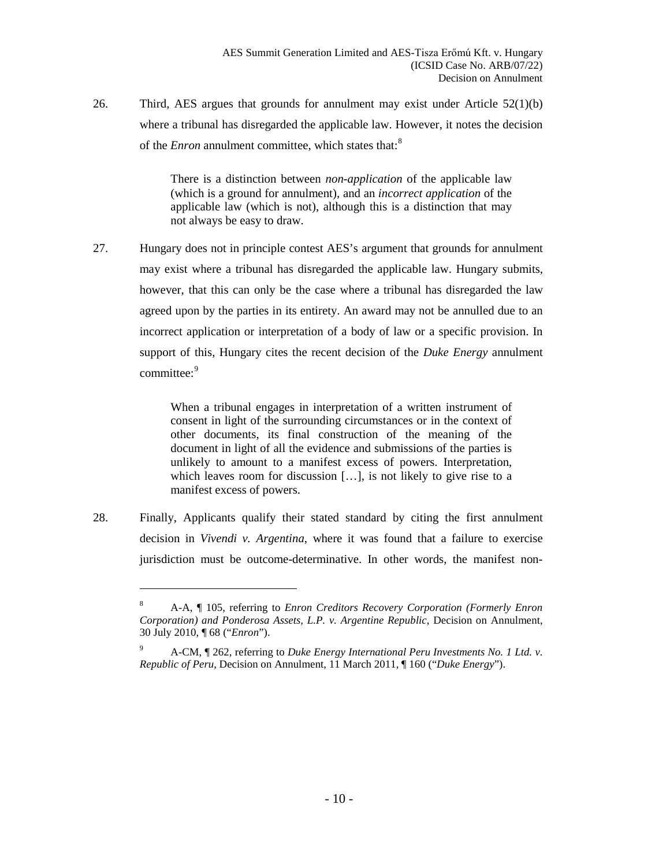26. Third, AES argues that grounds for annulment may exist under Article 52(1)(b) where a tribunal has disregarded the applicable law. However, it notes the decision of the *Enron* annulment committee, which states that:<sup>[8](#page-9-0)</sup>

> There is a distinction between *non-application* of the applicable law (which is a ground for annulment), and an *incorrect application* of the applicable law (which is not), although this is a distinction that may not always be easy to draw.

27. Hungary does not in principle contest AES's argument that grounds for annulment may exist where a tribunal has disregarded the applicable law. Hungary submits, however, that this can only be the case where a tribunal has disregarded the law agreed upon by the parties in its entirety. An award may not be annulled due to an incorrect application or interpretation of a body of law or a specific provision. In support of this, Hungary cites the recent decision of the *Duke Energy* annulment committee:<sup>[9](#page-9-1)</sup>

> When a tribunal engages in interpretation of a written instrument of consent in light of the surrounding circumstances or in the context of other documents, its final construction of the meaning of the document in light of all the evidence and submissions of the parties is unlikely to amount to a manifest excess of powers. Interpretation, which leaves room for discussion […], is not likely to give rise to a manifest excess of powers.

<span id="page-9-0"></span>28. Finally, Applicants qualify their stated standard by citing the first annulment decision in *Vivendi v. Argentina*, where it was found that a failure to exercise jurisdiction must be outcome-determinative. In other words, the manifest non-

<sup>8</sup> A-A, ¶ 105, referring to *Enron Creditors Recovery Corporation (Formerly Enron Corporation) and Ponderosa Assets, L.P. v. Argentine Republic*, Decision on Annulment, 30 July 2010, ¶ 68 ("*Enron*").

<span id="page-9-1"></span><sup>9</sup> A-CM, ¶ 262, referring to *Duke Energy International Peru Investments No. 1 Ltd. v. Republic of Peru*, Decision on Annulment, 11 March 2011, ¶ 160 ("*Duke Energy*").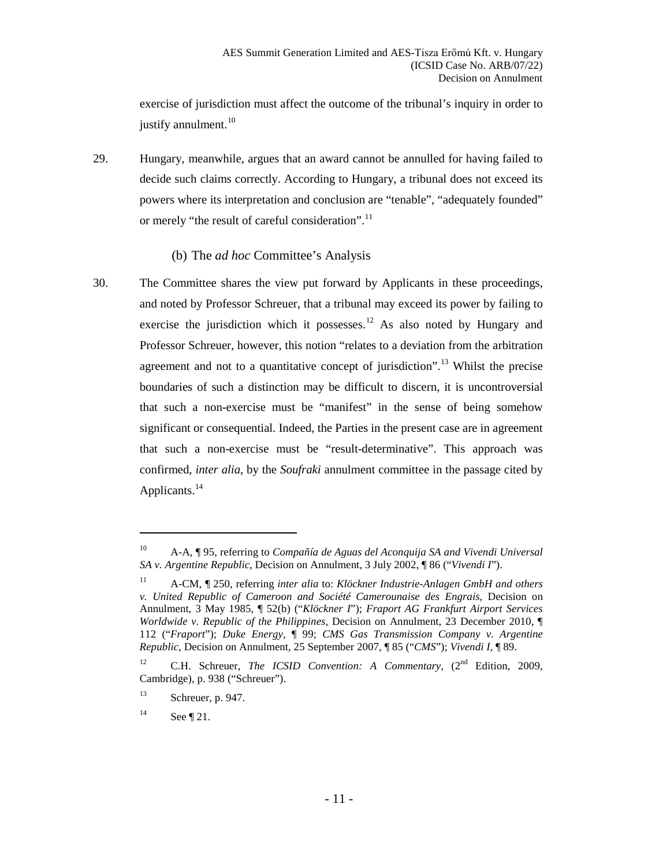exercise of jurisdiction must affect the outcome of the tribunal's inquiry in order to justify annulment. $10$ 

<span id="page-10-6"></span>29. Hungary, meanwhile, argues that an award cannot be annulled for having failed to decide such claims correctly. According to Hungary, a tribunal does not exceed its powers where its interpretation and conclusion are "tenable", "adequately founded" or merely "the result of careful consideration".<sup>[11](#page-10-2)</sup>

#### (b) The *ad hoc* Committee's Analysis

<span id="page-10-0"></span>30. The Committee shares the view put forward by Applicants in these proceedings, and noted by Professor Schreuer, that a tribunal may exceed its power by failing to exercise the jurisdiction which it possesses.<sup>[12](#page-10-3)</sup> As also noted by Hungary and Professor Schreuer, however, this notion "relates to a deviation from the arbitration agreement and not to a quantitative concept of jurisdiction".<sup>[13](#page-10-4)</sup> Whilst the precise boundaries of such a distinction may be difficult to discern, it is uncontroversial that such a non-exercise must be "manifest" in the sense of being somehow significant or consequential. Indeed, the Parties in the present case are in agreement that such a non-exercise must be "result-determinative". This approach was confirmed, *inter alia*, by the *Soufraki* annulment committee in the passage cited by Applicants.<sup>[14](#page-10-5)</sup>

<span id="page-10-1"></span><sup>10</sup> A-A, ¶ 95, referring to *Compañía de Aguas del Aconquija SA and Vivendi Universal SA v. Argentine Republic*, Decision on Annulment, 3 July 2002, ¶ 86 ("*Vivendi I*").

<span id="page-10-2"></span><sup>11</sup> A-CM, ¶ 250, referring *inter alia* to: *Klöckner Industrie-Anlagen GmbH and others v. United Republic of Cameroon and Société Camerounaise des Engrais,* Decision on Annulment, 3 May 1985, ¶ 52(b) ("*Klöckner I*"); *Fraport AG Frankfurt Airport Services Worldwide v. Republic of the Philippines*, Decision on Annulment, 23 December 2010, ¶ 112 ("*Fraport*"); *Duke Energy,* ¶ 99; *CMS Gas Transmission Company v. Argentine Republic*, Decision on Annulment, 25 September 2007, ¶ 85 ("*CMS*"); *Vivendi I*, ¶ 89.

<span id="page-10-3"></span><sup>&</sup>lt;sup>12</sup> C.H. Schreuer, *The ICSID Convention: A Commentary*, (2<sup>nd</sup> Edition, 2009, Cambridge), p. 938 ("Schreuer").

<span id="page-10-4"></span> $13$  Schreuer, p. 947.

<span id="page-10-5"></span> $14$  See ¶ [21.](#page-7-6)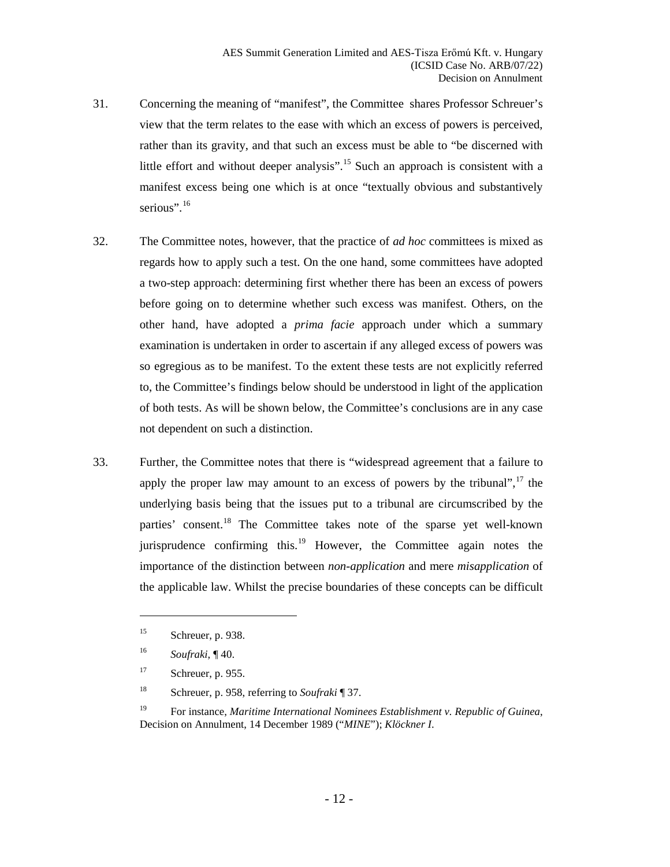- 31. Concerning the meaning of "manifest", the Committee shares Professor Schreuer's view that the term relates to the ease with which an excess of powers is perceived, rather than its gravity, and that such an excess must be able to "be discerned with little effort and without deeper analysis".<sup>[15](#page-11-0)</sup> Such an approach is consistent with a manifest excess being one which is at once "textually obvious and substantively serious".<sup>[16](#page-11-1)</sup>
- 32. The Committee notes, however, that the practice of *ad hoc* committees is mixed as regards how to apply such a test. On the one hand, some committees have adopted a two-step approach: determining first whether there has been an excess of powers before going on to determine whether such excess was manifest. Others, on the other hand, have adopted a *prima facie* approach under which a summary examination is undertaken in order to ascertain if any alleged excess of powers was so egregious as to be manifest. To the extent these tests are not explicitly referred to, the Committee's findings below should be understood in light of the application of both tests. As will be shown below, the Committee's conclusions are in any case not dependent on such a distinction.
- 33. Further, the Committee notes that there is "widespread agreement that a failure to apply the proper law may amount to an excess of powers by the tribunal", $17$  the underlying basis being that the issues put to a tribunal are circumscribed by the parties' consent.<sup>[18](#page-11-3)</sup> The Committee takes note of the sparse yet well-known jurisprudence confirming this.<sup>[19](#page-11-4)</sup> However, the Committee again notes the importance of the distinction between *non-application* and mere *misapplication* of the applicable law. Whilst the precise boundaries of these concepts can be difficult

<span id="page-11-0"></span><sup>15</sup> Schreuer, p. 938.

<span id="page-11-1"></span><sup>16</sup> *Soufraki*, ¶ 40.

<span id="page-11-2"></span> $17$  Schreuer, p. 955.

<span id="page-11-3"></span><sup>18</sup> Schreuer, p. 958, referring to *Soufraki* ¶ 37.

<span id="page-11-4"></span><sup>19</sup> For instance, *Maritime International Nominees Establishment v. Republic of Guinea*, Decision on Annulment, 14 December 1989 ("*MINE*"); *Klöckner I*.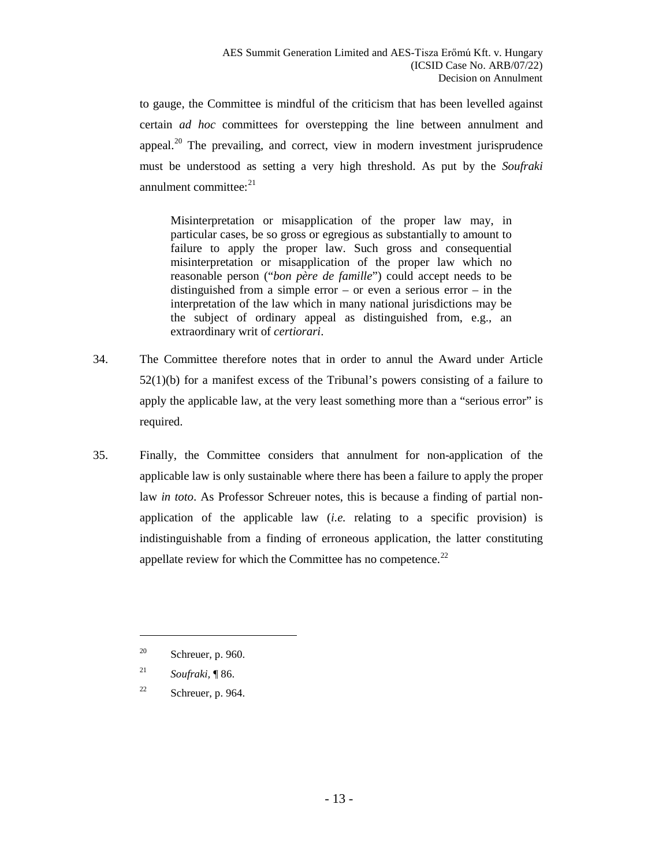to gauge, the Committee is mindful of the criticism that has been levelled against certain *ad hoc* committees for overstepping the line between annulment and appeal.<sup>[20](#page-12-0)</sup> The prevailing, and correct, view in modern investment jurisprudence must be understood as setting a very high threshold. As put by the *Soufraki* annulment committee: $21$ 

Misinterpretation or misapplication of the proper law may, in particular cases, be so gross or egregious as substantially to amount to failure to apply the proper law. Such gross and consequential misinterpretation or misapplication of the proper law which no reasonable person ("*bon père de famille*") could accept needs to be distinguished from a simple error – or even a serious error – in the interpretation of the law which in many national jurisdictions may be the subject of ordinary appeal as distinguished from, e.g., an extraordinary writ of *certiorari*.

- 34. The Committee therefore notes that in order to annul the Award under Article 52(1)(b) for a manifest excess of the Tribunal's powers consisting of a failure to apply the applicable law, at the very least something more than a "serious error" is required.
- 35. Finally, the Committee considers that annulment for non-application of the applicable law is only sustainable where there has been a failure to apply the proper law *in toto*. As Professor Schreuer notes, this is because a finding of partial nonapplication of the applicable law (*i.e.* relating to a specific provision) is indistinguishable from a finding of erroneous application, the latter constituting appellate review for which the Committee has no competence.<sup>[22](#page-12-2)</sup>

<span id="page-12-0"></span> $20$  Schreuer, p. 960.

<span id="page-12-1"></span><sup>21</sup> *Soufraki,* ¶ 86.

<span id="page-12-2"></span><sup>&</sup>lt;sup>22</sup> Schreuer, p. 964.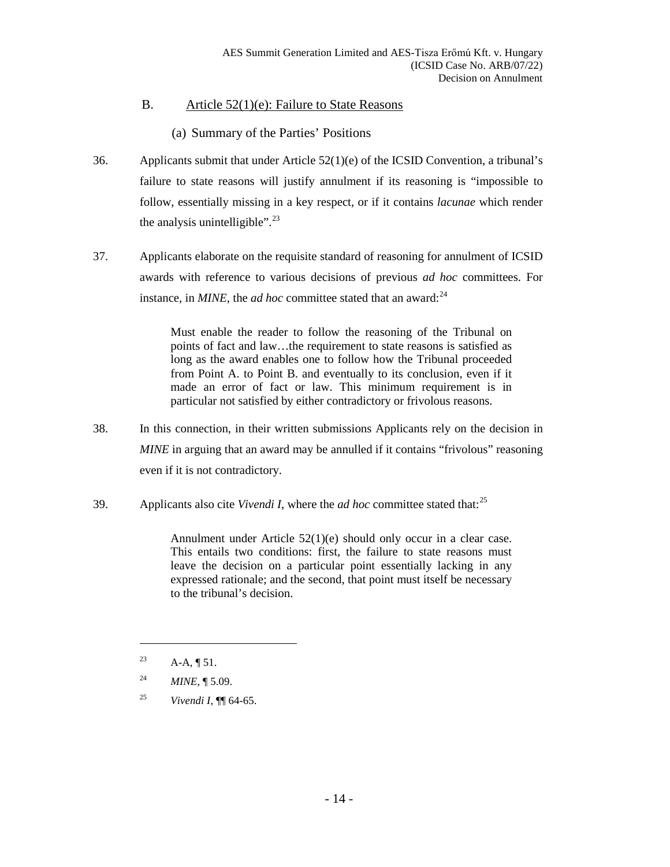## <span id="page-13-0"></span>B. Article 52(1)(e): Failure to State Reasons

(a) Summary of the Parties' Positions

- <span id="page-13-1"></span>36. Applicants submit that under Article 52(1)(e) of the ICSID Convention, a tribunal's failure to state reasons will justify annulment if its reasoning is "impossible to follow, essentially missing in a key respect, or if it contains *lacunae* which render the analysis unintelligible".<sup>[23](#page-13-2)</sup>
- 37. Applicants elaborate on the requisite standard of reasoning for annulment of ICSID awards with reference to various decisions of previous *ad hoc* committees. For instance, in  $MINE$ , the *ad hoc* committee stated that an award:<sup>[24](#page-13-3)</sup>

Must enable the reader to follow the reasoning of the Tribunal on points of fact and law…the requirement to state reasons is satisfied as long as the award enables one to follow how the Tribunal proceeded from Point A. to Point B. and eventually to its conclusion, even if it made an error of fact or law. This minimum requirement is in particular not satisfied by either contradictory or frivolous reasons.

- 38. In this connection, in their written submissions Applicants rely on the decision in *MINE* in arguing that an award may be annulled if it contains "frivolous" reasoning even if it is not contradictory.
- 39. Applicants also cite *Vivendi I*, where the *ad hoc* committee stated that:[25](#page-13-4)

Annulment under Article 52(1)(e) should only occur in a clear case. This entails two conditions: first, the failure to state reasons must leave the decision on a particular point essentially lacking in any expressed rationale; and the second, that point must itself be necessary to the tribunal's decision.

<span id="page-13-2"></span><sup>&</sup>lt;sup>23</sup> A-A,  $\P$  51.

<span id="page-13-3"></span><sup>24</sup> *MINE*, ¶ 5.09.

<span id="page-13-4"></span><sup>25</sup> *Vivendi I*, ¶¶ 64-65.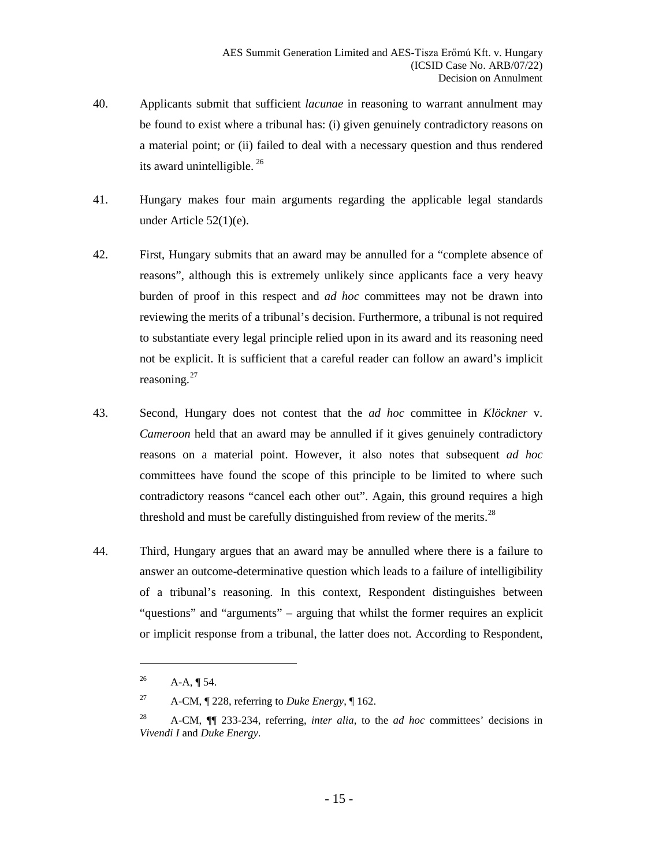- 40. Applicants submit that sufficient *lacunae* in reasoning to warrant annulment may be found to exist where a tribunal has: (i) given genuinely contradictory reasons on a material point; or (ii) failed to deal with a necessary question and thus rendered its award unintelligible. [26](#page-14-0)
- 41. Hungary makes four main arguments regarding the applicable legal standards under Article 52(1)(e).
- 42. First, Hungary submits that an award may be annulled for a "complete absence of reasons", although this is extremely unlikely since applicants face a very heavy burden of proof in this respect and *ad hoc* committees may not be drawn into reviewing the merits of a tribunal's decision. Furthermore, a tribunal is not required to substantiate every legal principle relied upon in its award and its reasoning need not be explicit. It is sufficient that a careful reader can follow an award's implicit reasoning.<sup>[27](#page-14-1)</sup>
- 43. Second, Hungary does not contest that the *ad hoc* committee in *Klöckner* v. *Cameroon* held that an award may be annulled if it gives genuinely contradictory reasons on a material point. However, it also notes that subsequent *ad hoc*  committees have found the scope of this principle to be limited to where such contradictory reasons "cancel each other out". Again, this ground requires a high threshold and must be carefully distinguished from review of the merits.<sup>[28](#page-14-2)</sup>
- 44. Third, Hungary argues that an award may be annulled where there is a failure to answer an outcome-determinative question which leads to a failure of intelligibility of a tribunal's reasoning. In this context, Respondent distinguishes between "questions" and "arguments" – arguing that whilst the former requires an explicit or implicit response from a tribunal, the latter does not. According to Respondent,

<span id="page-14-0"></span><sup>&</sup>lt;sup>26</sup> A-A, ¶ 54.

<span id="page-14-1"></span><sup>27</sup> A-CM, ¶ 228, referring to *Duke Energy*, ¶ 162.

<span id="page-14-2"></span><sup>28</sup> A-CM, ¶¶ 233-234, referring, *inter alia*, to the *ad hoc* committees' decisions in *Vivendi I* and *Duke Energy*.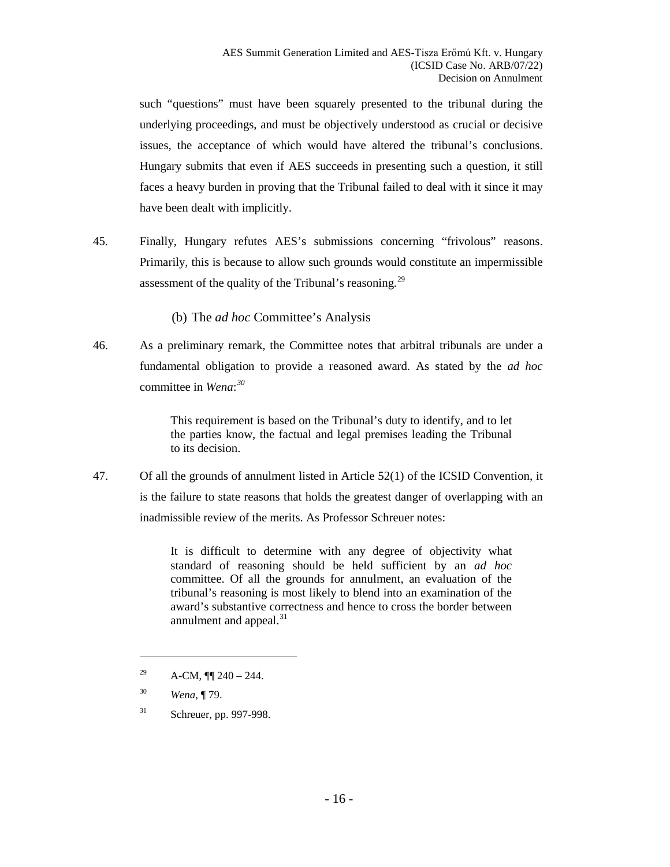such "questions" must have been squarely presented to the tribunal during the underlying proceedings, and must be objectively understood as crucial or decisive issues, the acceptance of which would have altered the tribunal's conclusions. Hungary submits that even if AES succeeds in presenting such a question, it still faces a heavy burden in proving that the Tribunal failed to deal with it since it may have been dealt with implicitly.

- 45. Finally, Hungary refutes AES's submissions concerning "frivolous" reasons. Primarily, this is because to allow such grounds would constitute an impermissible assessment of the quality of the Tribunal's reasoning.<sup>[29](#page-15-1)</sup>
	- (b) The *ad hoc* Committee's Analysis
- <span id="page-15-0"></span>46. As a preliminary remark, the Committee notes that arbitral tribunals are under a fundamental obligation to provide a reasoned award. As stated by the *ad hoc*  committee in *Wena*: *[30](#page-15-2)*

This requirement is based on the Tribunal's duty to identify, and to let the parties know, the factual and legal premises leading the Tribunal to its decision.

47. Of all the grounds of annulment listed in Article 52(1) of the ICSID Convention, it is the failure to state reasons that holds the greatest danger of overlapping with an inadmissible review of the merits. As Professor Schreuer notes:

> It is difficult to determine with any degree of objectivity what standard of reasoning should be held sufficient by an *ad hoc*  committee. Of all the grounds for annulment, an evaluation of the tribunal's reasoning is most likely to blend into an examination of the award's substantive correctness and hence to cross the border between annulment and appeal.<sup>[31](#page-15-3)</sup>

<span id="page-15-1"></span><sup>&</sup>lt;sup>29</sup> A-CM,  $\P$  240 – 244.

<span id="page-15-2"></span><sup>30</sup> *Wena*, ¶ 79.

<span id="page-15-3"></span><sup>31</sup> Schreuer, pp. 997-998.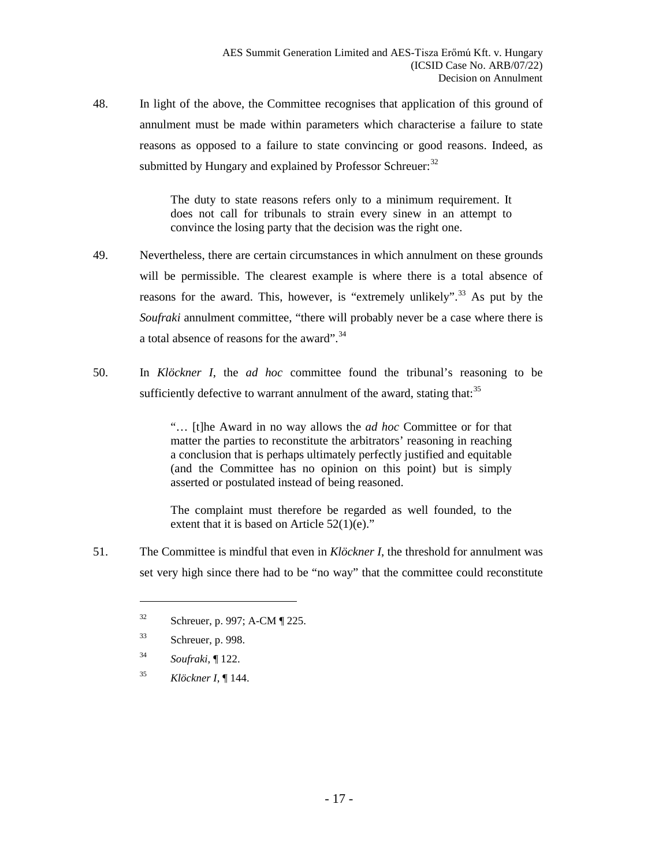48. In light of the above, the Committee recognises that application of this ground of annulment must be made within parameters which characterise a failure to state reasons as opposed to a failure to state convincing or good reasons. Indeed, as submitted by Hungary and explained by Professor Schreuer:<sup>[32](#page-16-0)</sup>

> The duty to state reasons refers only to a minimum requirement. It does not call for tribunals to strain every sinew in an attempt to convince the losing party that the decision was the right one.

- 49. Nevertheless, there are certain circumstances in which annulment on these grounds will be permissible. The clearest example is where there is a total absence of reasons for the award. This, however, is "extremely unlikely".<sup>[33](#page-16-1)</sup> As put by the *Soufraki* annulment committee, "there will probably never be a case where there is a total absence of reasons for the award".<sup>[34](#page-16-2)</sup>
- 50. In *Klöckner I*, the *ad hoc* committee found the tribunal's reasoning to be sufficiently defective to warrant annulment of the award, stating that:<sup>[35](#page-16-3)</sup>

"… [t]he Award in no way allows the *ad hoc* Committee or for that matter the parties to reconstitute the arbitrators' reasoning in reaching a conclusion that is perhaps ultimately perfectly justified and equitable (and the Committee has no opinion on this point) but is simply asserted or postulated instead of being reasoned.

The complaint must therefore be regarded as well founded, to the extent that it is based on Article 52(1)(e)."

<span id="page-16-1"></span><span id="page-16-0"></span>51. The Committee is mindful that even in *Klöckner I*, the threshold for annulment was set very high since there had to be "no way" that the committee could reconstitute

<sup>33</sup> Schreuer, p. 998.

- <span id="page-16-2"></span><sup>34</sup> *Soufraki*, ¶ 122.
- <span id="page-16-3"></span><sup>35</sup> *Klöckner I*, ¶ 144.

<sup>32</sup> Schreuer, p. 997; A-CM ¶ 225.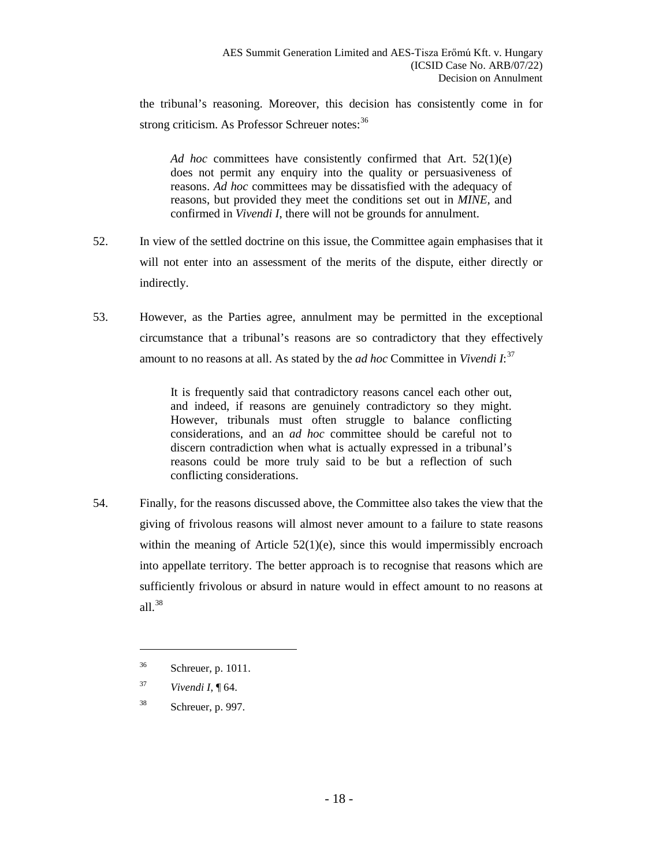the tribunal's reasoning. Moreover, this decision has consistently come in for strong criticism. As Professor Schreuer notes:<sup>[36](#page-17-0)</sup>

*Ad hoc* committees have consistently confirmed that Art. 52(1)(e) does not permit any enquiry into the quality or persuasiveness of reasons. *Ad hoc* committees may be dissatisfied with the adequacy of reasons, but provided they meet the conditions set out in *MINE*, and confirmed in *Vivendi I*, there will not be grounds for annulment.

- 52. In view of the settled doctrine on this issue, the Committee again emphasises that it will not enter into an assessment of the merits of the dispute, either directly or indirectly.
- <span id="page-17-4"></span>53. However, as the Parties agree, annulment may be permitted in the exceptional circumstance that a tribunal's reasons are so contradictory that they effectively amount to no reasons at all. As stated by the *ad hoc* Committee in *Vivendi I*: [37](#page-17-1)

It is frequently said that contradictory reasons cancel each other out, and indeed, if reasons are genuinely contradictory so they might. However, tribunals must often struggle to balance conflicting considerations, and an *ad hoc* committee should be careful not to discern contradiction when what is actually expressed in a tribunal's reasons could be more truly said to be but a reflection of such conflicting considerations.

<span id="page-17-3"></span>54. Finally, for the reasons discussed above, the Committee also takes the view that the giving of frivolous reasons will almost never amount to a failure to state reasons within the meaning of Article  $52(1)(e)$ , since this would impermissibly encroach into appellate territory. The better approach is to recognise that reasons which are sufficiently frivolous or absurd in nature would in effect amount to no reasons at all.[38](#page-17-2)

<span id="page-17-0"></span><sup>36</sup> Schreuer, p. 1011.

<span id="page-17-1"></span><sup>37</sup> *Vivendi I*, ¶ 64.

<span id="page-17-2"></span><sup>38</sup> Schreuer, p. 997.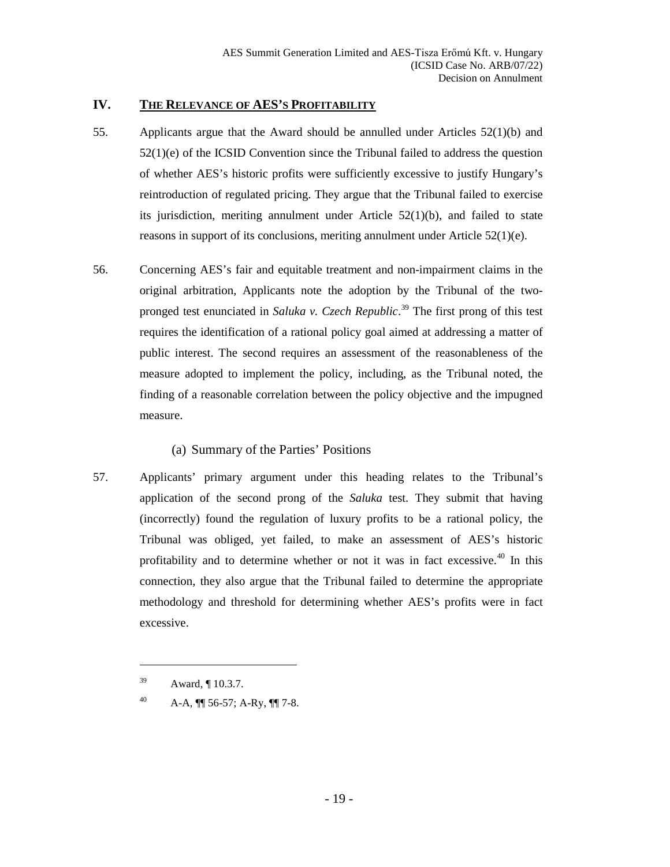#### <span id="page-18-0"></span>**IV. THE RELEVANCE OF AES'S PROFITABILITY**

- 55. Applicants argue that the Award should be annulled under Articles 52(1)(b) and  $52(1)(e)$  of the ICSID Convention since the Tribunal failed to address the question of whether AES's historic profits were sufficiently excessive to justify Hungary's reintroduction of regulated pricing. They argue that the Tribunal failed to exercise its jurisdiction, meriting annulment under Article  $52(1)(b)$ , and failed to state reasons in support of its conclusions, meriting annulment under Article 52(1)(e).
- 56. Concerning AES's fair and equitable treatment and non-impairment claims in the original arbitration, Applicants note the adoption by the Tribunal of the twopronged test enunciated in *Saluka v. Czech Republic*. [39](#page-18-2) The first prong of this test requires the identification of a rational policy goal aimed at addressing a matter of public interest. The second requires an assessment of the reasonableness of the measure adopted to implement the policy, including, as the Tribunal noted, the finding of a reasonable correlation between the policy objective and the impugned measure.

## (a) Summary of the Parties' Positions

<span id="page-18-1"></span>57. Applicants' primary argument under this heading relates to the Tribunal's application of the second prong of the *Saluka* test. They submit that having (incorrectly) found the regulation of luxury profits to be a rational policy, the Tribunal was obliged, yet failed, to make an assessment of AES's historic profitability and to determine whether or not it was in fact excessive.<sup>[40](#page-18-3)</sup> In this connection, they also argue that the Tribunal failed to determine the appropriate methodology and threshold for determining whether AES's profits were in fact excessive.

<span id="page-18-2"></span><sup>39</sup> Award, ¶ 10.3.7.

<span id="page-18-3"></span><sup>40</sup> A-A,  $\P$  56-57; A-Ry,  $\P$  7-8.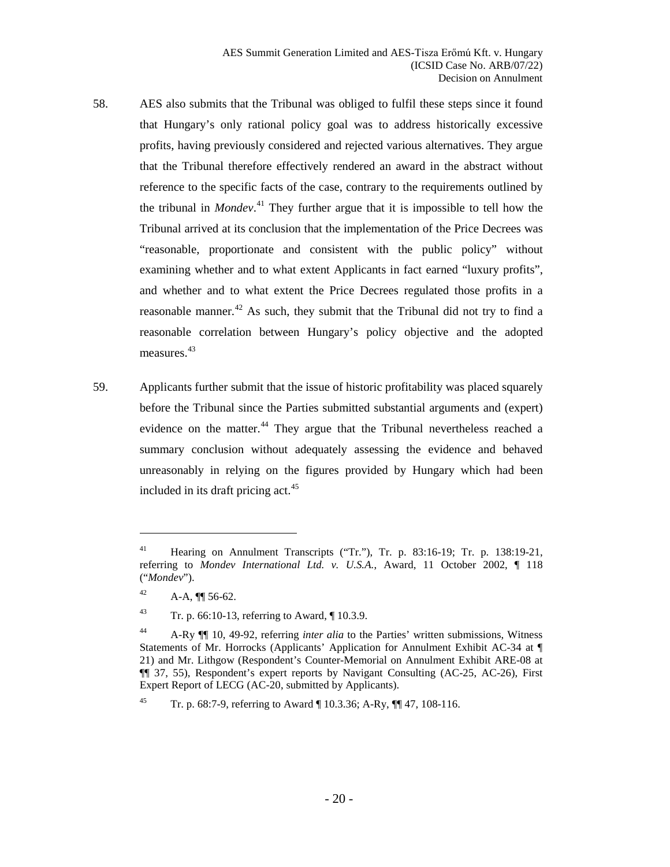- 58. AES also submits that the Tribunal was obliged to fulfil these steps since it found that Hungary's only rational policy goal was to address historically excessive profits, having previously considered and rejected various alternatives. They argue that the Tribunal therefore effectively rendered an award in the abstract without reference to the specific facts of the case, contrary to the requirements outlined by the tribunal in *Mondev*. [41](#page-19-0) They further argue that it is impossible to tell how the Tribunal arrived at its conclusion that the implementation of the Price Decrees was "reasonable, proportionate and consistent with the public policy" without examining whether and to what extent Applicants in fact earned "luxury profits", and whether and to what extent the Price Decrees regulated those profits in a reasonable manner.<sup>[42](#page-19-1)</sup> As such, they submit that the Tribunal did not try to find a reasonable correlation between Hungary's policy objective and the adopted measures.<sup>[43](#page-19-2)</sup>
- 59. Applicants further submit that the issue of historic profitability was placed squarely before the Tribunal since the Parties submitted substantial arguments and (expert) evidence on the matter.<sup>[44](#page-19-3)</sup> They argue that the Tribunal nevertheless reached a summary conclusion without adequately assessing the evidence and behaved unreasonably in relying on the figures provided by Hungary which had been included in its draft pricing act.<sup>[45](#page-19-4)</sup>

<span id="page-19-0"></span><sup>41</sup> Hearing on Annulment Transcripts ("Tr."), Tr. p. 83:16-19; Tr. p. 138:19-21, referring to *Mondev International Ltd. v. U.S.A.*, Award, 11 October 2002, ¶ 118 ("*Mondev*").

<span id="page-19-1"></span><sup>&</sup>lt;sup>42</sup> A-A,  $\P$  56-62.

<span id="page-19-2"></span><sup>43</sup> Tr. p. 66:10-13, referring to Award, ¶ 10.3.9.

<span id="page-19-3"></span><sup>44</sup> A-Ry ¶¶ 10, 49-92, referring *inter alia* to the Parties' written submissions, Witness Statements of Mr. Horrocks (Applicants' Application for Annulment Exhibit AC-34 at ¶ 21) and Mr. Lithgow (Respondent's Counter-Memorial on Annulment Exhibit ARE-08 at ¶¶ 37, 55), Respondent's expert reports by Navigant Consulting (AC-25, AC-26), First Expert Report of LECG (AC-20, submitted by Applicants).

<span id="page-19-4"></span><sup>45</sup> Tr. p. 68:7-9, referring to Award ¶ 10.3.36; A-Ry, ¶¶ 47, 108-116.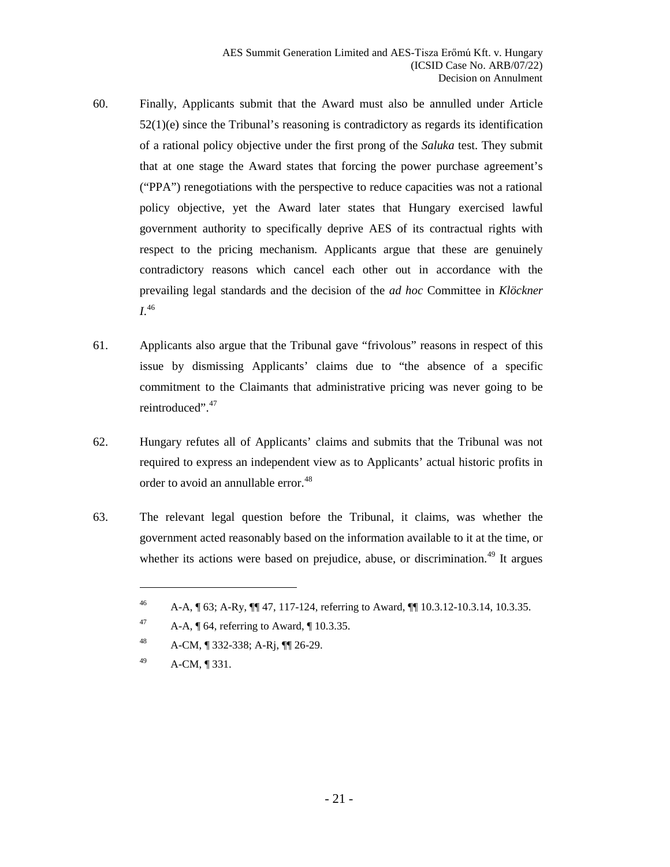- 60. Finally, Applicants submit that the Award must also be annulled under Article  $52(1)(e)$  since the Tribunal's reasoning is contradictory as regards its identification of a rational policy objective under the first prong of the *Saluka* test. They submit that at one stage the Award states that forcing the power purchase agreement's ("PPA") renegotiations with the perspective to reduce capacities was not a rational policy objective, yet the Award later states that Hungary exercised lawful government authority to specifically deprive AES of its contractual rights with respect to the pricing mechanism. Applicants argue that these are genuinely contradictory reasons which cancel each other out in accordance with the prevailing legal standards and the decision of the *ad hoc* Committee in *Klöckner I*. [46](#page-20-0)
- 61. Applicants also argue that the Tribunal gave "frivolous" reasons in respect of this issue by dismissing Applicants' claims due to "the absence of a specific commitment to the Claimants that administrative pricing was never going to be reintroduced".<sup>[47](#page-20-1)</sup>
- 62. Hungary refutes all of Applicants' claims and submits that the Tribunal was not required to express an independent view as to Applicants' actual historic profits in order to avoid an annullable error.<sup>[48](#page-20-2)</sup>
- <span id="page-20-0"></span>63. The relevant legal question before the Tribunal, it claims, was whether the government acted reasonably based on the information available to it at the time, or whether its actions were based on prejudice, abuse, or discrimination.<sup>[49](#page-20-3)</sup> It argues

<span id="page-20-3"></span><sup>49</sup> A-CM, ¶ 331.

<sup>46</sup> A-A, ¶ 63; A-Ry, ¶¶ 47, 117-124, referring to Award, ¶¶ 10.3.12-10.3.14, 10.3.35.

<span id="page-20-1"></span><sup>&</sup>lt;sup>47</sup> A-A,  $\sqrt{\phantom{a}}$  64, referring to Award,  $\sqrt{\phantom{a}}$  10.3.35.

<span id="page-20-2"></span><sup>48</sup> A-CM, ¶ 332-338; A-Rj, ¶¶ 26-29.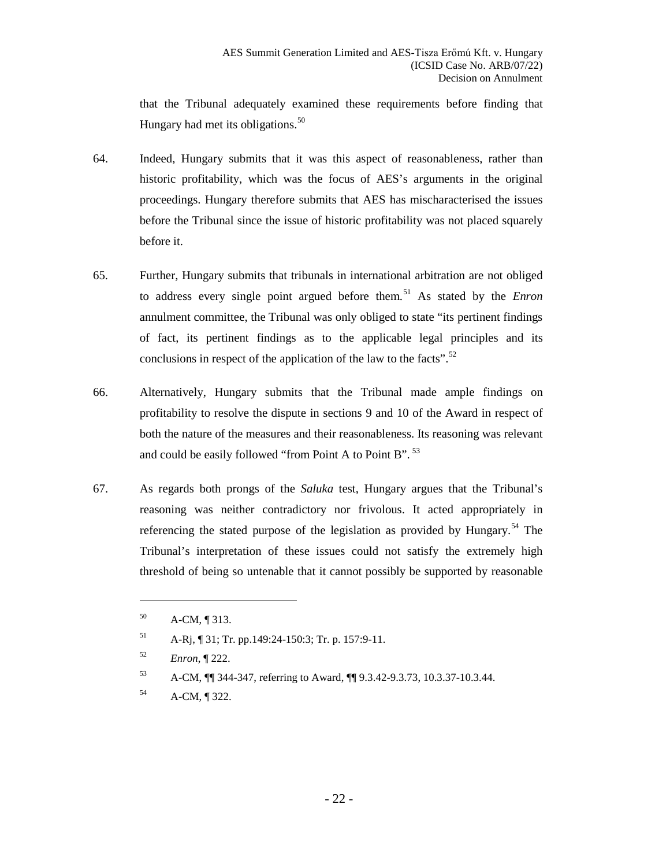that the Tribunal adequately examined these requirements before finding that Hungary had met its obligations.<sup>[50](#page-21-0)</sup>

- 64. Indeed, Hungary submits that it was this aspect of reasonableness, rather than historic profitability, which was the focus of AES's arguments in the original proceedings. Hungary therefore submits that AES has mischaracterised the issues before the Tribunal since the issue of historic profitability was not placed squarely before it.
- <span id="page-21-5"></span>65. Further, Hungary submits that tribunals in international arbitration are not obliged to address every single point argued before them.[51](#page-21-1) As stated by the *Enron*  annulment committee, the Tribunal was only obliged to state "its pertinent findings of fact, its pertinent findings as to the applicable legal principles and its conclusions in respect of the application of the law to the facts".<sup>[52](#page-21-2)</sup>
- 66. Alternatively, Hungary submits that the Tribunal made ample findings on profitability to resolve the dispute in sections 9 and 10 of the Award in respect of both the nature of the measures and their reasonableness. Its reasoning was relevant and could be easily followed "from Point A to Point B".<sup>[53](#page-21-3)</sup>
- 67. As regards both prongs of the *Saluka* test, Hungary argues that the Tribunal's reasoning was neither contradictory nor frivolous. It acted appropriately in referencing the stated purpose of the legislation as provided by Hungary.<sup>[54](#page-21-4)</sup> The Tribunal's interpretation of these issues could not satisfy the extremely high threshold of being so untenable that it cannot possibly be supported by reasonable

<span id="page-21-0"></span><sup>50</sup> A-CM, ¶ 313.

<span id="page-21-1"></span><sup>51</sup> A-Rj, ¶ 31; Tr. pp.149:24-150:3; Tr. p. 157:9-11.

<span id="page-21-2"></span><sup>52</sup> *Enron*, ¶ 222.

<span id="page-21-3"></span><sup>53</sup> A-CM, ¶¶ 344-347, referring to Award, ¶¶ 9.3.42-9.3.73, 10.3.37-10.3.44.

<span id="page-21-4"></span><sup>54</sup> A-CM, ¶ 322.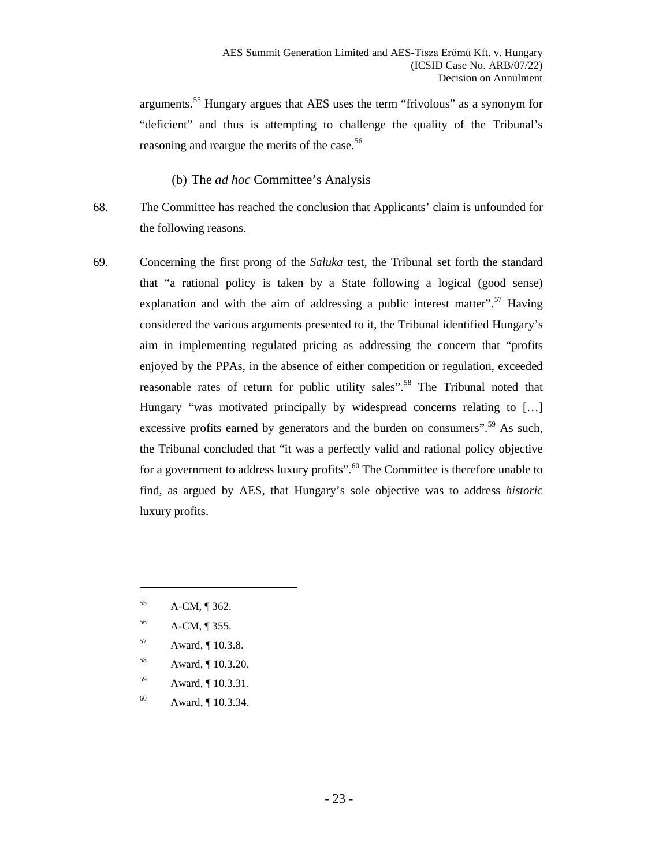arguments.<sup>[55](#page-22-1)</sup> Hungary argues that AES uses the term "frivolous" as a synonym for "deficient" and thus is attempting to challenge the quality of the Tribunal's reasoning and reargue the merits of the case.<sup>[56](#page-22-2)</sup>

(b) The *ad hoc* Committee's Analysis

- <span id="page-22-0"></span>68. The Committee has reached the conclusion that Applicants' claim is unfounded for the following reasons.
- <span id="page-22-7"></span>69. Concerning the first prong of the *Saluka* test, the Tribunal set forth the standard that "a rational policy is taken by a State following a logical (good sense) explanation and with the aim of addressing a public interest matter".<sup>[57](#page-22-3)</sup> Having considered the various arguments presented to it, the Tribunal identified Hungary's aim in implementing regulated pricing as addressing the concern that "profits enjoyed by the PPAs, in the absence of either competition or regulation, exceeded reasonable rates of return for public utility sales".<sup>[58](#page-22-4)</sup> The Tribunal noted that Hungary "was motivated principally by widespread concerns relating to [...] excessive profits earned by generators and the burden on consumers".<sup>[59](#page-22-5)</sup> As such, the Tribunal concluded that "it was a perfectly valid and rational policy objective for a government to address luxury profits".<sup>[60](#page-22-6)</sup> The Committee is therefore unable to find, as argued by AES, that Hungary's sole objective was to address *historic* luxury profits.
	- <sup>55</sup> A-CM, ¶ 362.

- <span id="page-22-2"></span><span id="page-22-1"></span><sup>56</sup> A-CM, ¶ 355.
- <span id="page-22-3"></span><sup>57</sup> Award, ¶ 10.3.8.
- <span id="page-22-4"></span><sup>58</sup> Award, ¶ 10.3.20.
- <span id="page-22-5"></span><sup>59</sup> Award, ¶ 10.3.31.
- <span id="page-22-6"></span><sup>60</sup> Award, ¶ 10.3.34.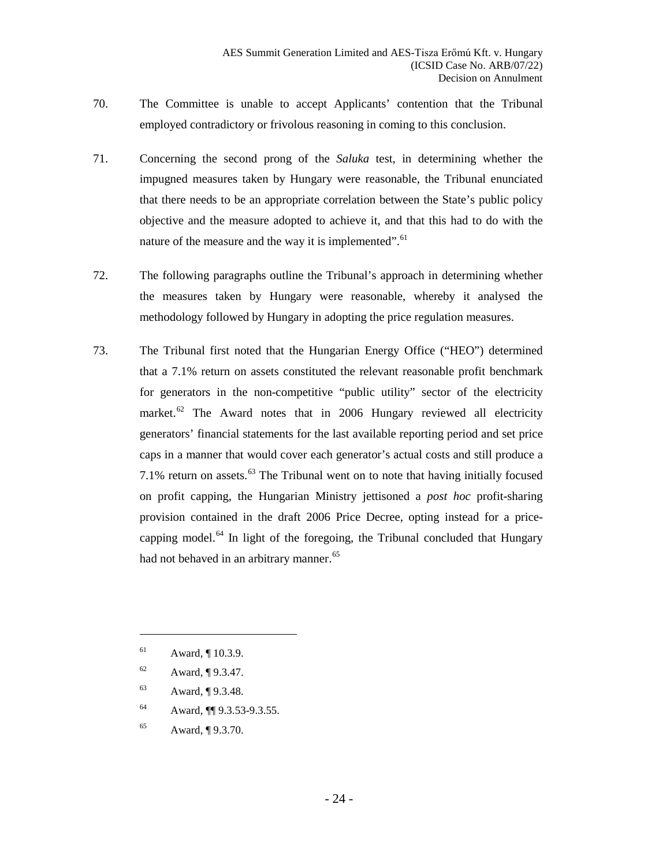- 70. The Committee is unable to accept Applicants' contention that the Tribunal employed contradictory or frivolous reasoning in coming to this conclusion.
- 71. Concerning the second prong of the *Saluka* test, in determining whether the impugned measures taken by Hungary were reasonable, the Tribunal enunciated that there needs to be an appropriate correlation between the State's public policy objective and the measure adopted to achieve it, and that this had to do with the nature of the measure and the way it is implemented".<sup>[61](#page-23-0)</sup>
- 72. The following paragraphs outline the Tribunal's approach in determining whether the measures taken by Hungary were reasonable, whereby it analysed the methodology followed by Hungary in adopting the price regulation measures.
- 73. The Tribunal first noted that the Hungarian Energy Office ("HEO") determined that a 7.1% return on assets constituted the relevant reasonable profit benchmark for generators in the non-competitive "public utility" sector of the electricity market. $62$  The Award notes that in 2006 Hungary reviewed all electricity generators' financial statements for the last available reporting period and set price caps in a manner that would cover each generator's actual costs and still produce a 7.1% return on assets. $^{63}$  $^{63}$  $^{63}$  The Tribunal went on to note that having initially focused on profit capping, the Hungarian Ministry jettisoned a *post hoc* profit-sharing provision contained in the draft 2006 Price Decree, opting instead for a pricecapping model. $64$  In light of the foregoing, the Tribunal concluded that Hungary had not behaved in an arbitrary manner.<sup>[65](#page-23-4)</sup>

- <span id="page-23-2"></span><sup>63</sup> Award, ¶ 9.3.48.
- <span id="page-23-3"></span><sup>64</sup> Award, ¶¶ 9.3.53-9.3.55.
- <span id="page-23-4"></span><sup>65</sup> Award, ¶ 9.3.70.

<span id="page-23-0"></span><sup>61</sup> Award, ¶ 10.3.9.

<span id="page-23-1"></span><sup>62</sup> Award, ¶ 9.3.47.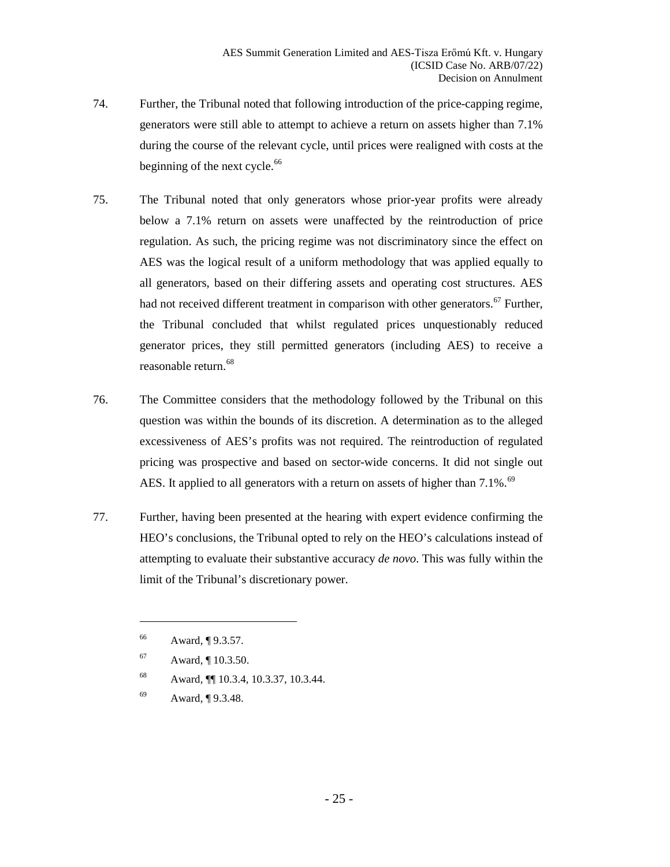- 74. Further, the Tribunal noted that following introduction of the price-capping regime, generators were still able to attempt to achieve a return on assets higher than 7.1% during the course of the relevant cycle, until prices were realigned with costs at the beginning of the next cycle. $66$
- 75. The Tribunal noted that only generators whose prior-year profits were already below a 7.1% return on assets were unaffected by the reintroduction of price regulation. As such, the pricing regime was not discriminatory since the effect on AES was the logical result of a uniform methodology that was applied equally to all generators, based on their differing assets and operating cost structures. AES had not received different treatment in comparison with other generators.<sup>[67](#page-24-1)</sup> Further, the Tribunal concluded that whilst regulated prices unquestionably reduced generator prices, they still permitted generators (including AES) to receive a reasonable return.[68](#page-24-2)
- 76. The Committee considers that the methodology followed by the Tribunal on this question was within the bounds of its discretion. A determination as to the alleged excessiveness of AES's profits was not required. The reintroduction of regulated pricing was prospective and based on sector-wide concerns. It did not single out AES. It applied to all generators with a return on assets of higher than 7.1%.<sup>[69](#page-24-3)</sup>
- 77. Further, having been presented at the hearing with expert evidence confirming the HEO's conclusions, the Tribunal opted to rely on the HEO's calculations instead of attempting to evaluate their substantive accuracy *de novo*. This was fully within the limit of the Tribunal's discretionary power.

- <span id="page-24-2"></span><sup>68</sup> Award, ¶¶ 10.3.4, 10.3.37, 10.3.44.
- <span id="page-24-3"></span><sup>69</sup> Award, ¶ 9.3.48.

<span id="page-24-0"></span><sup>66</sup> Award, ¶ 9.3.57.

<span id="page-24-1"></span><sup>67</sup> Award, ¶ 10.3.50.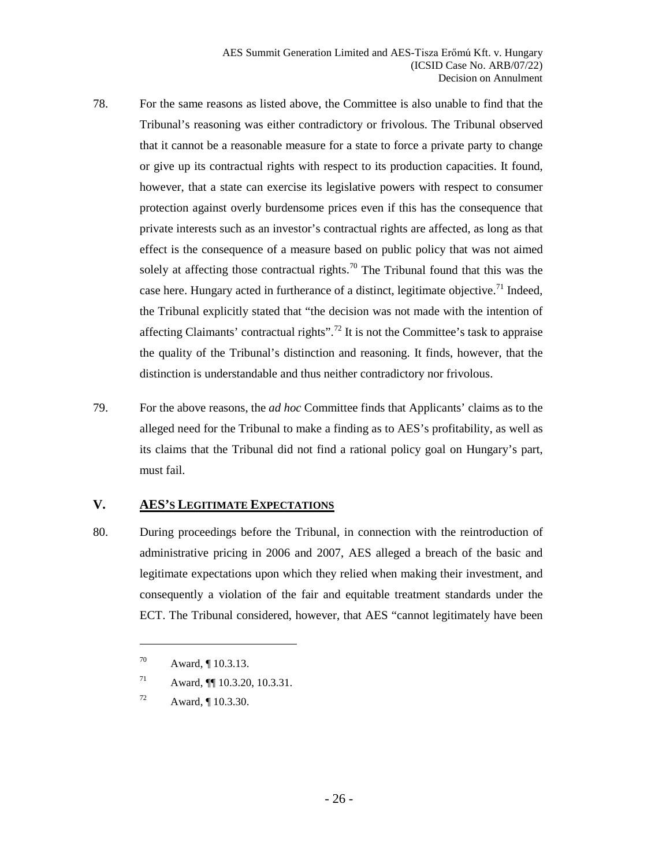- 78. For the same reasons as listed above, the Committee is also unable to find that the Tribunal's reasoning was either contradictory or frivolous. The Tribunal observed that it cannot be a reasonable measure for a state to force a private party to change or give up its contractual rights with respect to its production capacities. It found, however, that a state can exercise its legislative powers with respect to consumer protection against overly burdensome prices even if this has the consequence that private interests such as an investor's contractual rights are affected, as long as that effect is the consequence of a measure based on public policy that was not aimed solely at affecting those contractual rights.<sup>[70](#page-25-1)</sup> The Tribunal found that this was the case here. Hungary acted in furtherance of a distinct, legitimate objective.<sup>[71](#page-25-2)</sup> Indeed, the Tribunal explicitly stated that "the decision was not made with the intention of affecting Claimants' contractual rights".<sup>[72](#page-25-3)</sup> It is not the Committee's task to appraise the quality of the Tribunal's distinction and reasoning. It finds, however, that the distinction is understandable and thus neither contradictory nor frivolous.
- 79. For the above reasons, the *ad hoc* Committee finds that Applicants' claims as to the alleged need for the Tribunal to make a finding as to AES's profitability, as well as its claims that the Tribunal did not find a rational policy goal on Hungary's part, must fail.

#### <span id="page-25-0"></span>**V. AES'S LEGITIMATE EXPECTATIONS**

80. During proceedings before the Tribunal, in connection with the reintroduction of administrative pricing in 2006 and 2007, AES alleged a breach of the basic and legitimate expectations upon which they relied when making their investment, and consequently a violation of the fair and equitable treatment standards under the ECT. The Tribunal considered, however, that AES "cannot legitimately have been

<span id="page-25-1"></span><sup>70</sup> Award, ¶ 10.3.13.

<span id="page-25-2"></span><sup>71</sup> Award, ¶¶ 10.3.20, 10.3.31.

<span id="page-25-3"></span><sup>72</sup> Award, ¶ 10.3.30.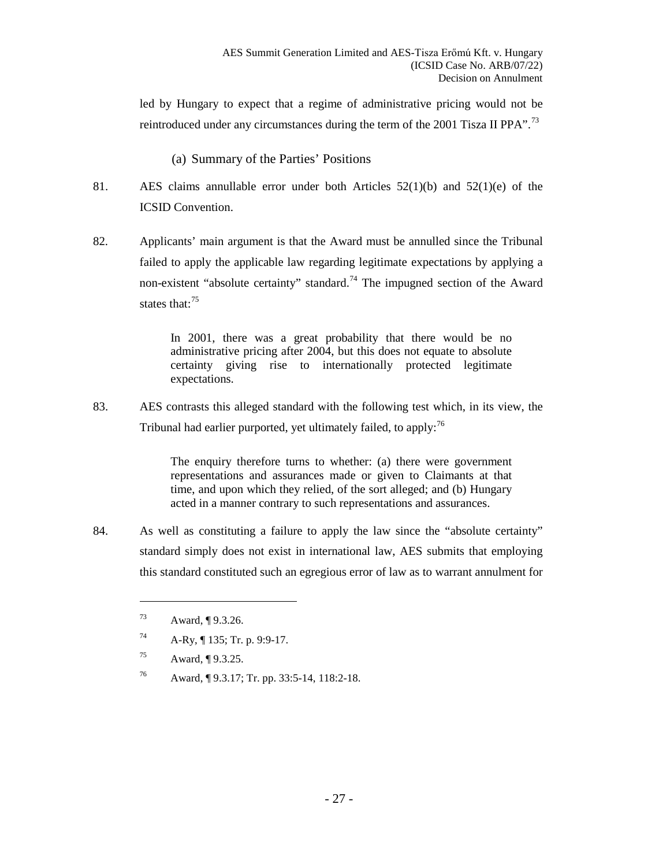led by Hungary to expect that a regime of administrative pricing would not be reintroduced under any circumstances during the term of the 2001 Tisza II PPA".<sup>[73](#page-26-1)</sup>

(a) Summary of the Parties' Positions

- <span id="page-26-0"></span>81. AES claims annullable error under both Articles 52(1)(b) and 52(1)(e) of the ICSID Convention.
- 82. Applicants' main argument is that the Award must be annulled since the Tribunal failed to apply the applicable law regarding legitimate expectations by applying a non-existent "absolute certainty" standard.<sup>[74](#page-26-2)</sup> The impugned section of the Award states that:<sup>[75](#page-26-3)</sup>

In 2001, there was a great probability that there would be no administrative pricing after 2004, but this does not equate to absolute certainty giving rise to internationally protected legitimate expectations.

83. AES contrasts this alleged standard with the following test which, in its view, the Tribunal had earlier purported, yet ultimately failed, to apply:  $76$ 

> The enquiry therefore turns to whether: (a) there were government representations and assurances made or given to Claimants at that time, and upon which they relied, of the sort alleged; and (b) Hungary acted in a manner contrary to such representations and assurances.

<span id="page-26-1"></span>84. As well as constituting a failure to apply the law since the "absolute certainty" standard simply does not exist in international law, AES submits that employing this standard constituted such an egregious error of law as to warrant annulment for

- <span id="page-26-3"></span><sup>75</sup> Award, ¶ 9.3.25.
- <span id="page-26-4"></span><sup>76</sup> Award, ¶ 9.3.17; Tr. pp. 33:5-14, 118:2-18.

<sup>73</sup> Award, ¶ 9.3.26.

<span id="page-26-2"></span><sup>74</sup> A-Ry, ¶ 135; Tr. p. 9:9-17.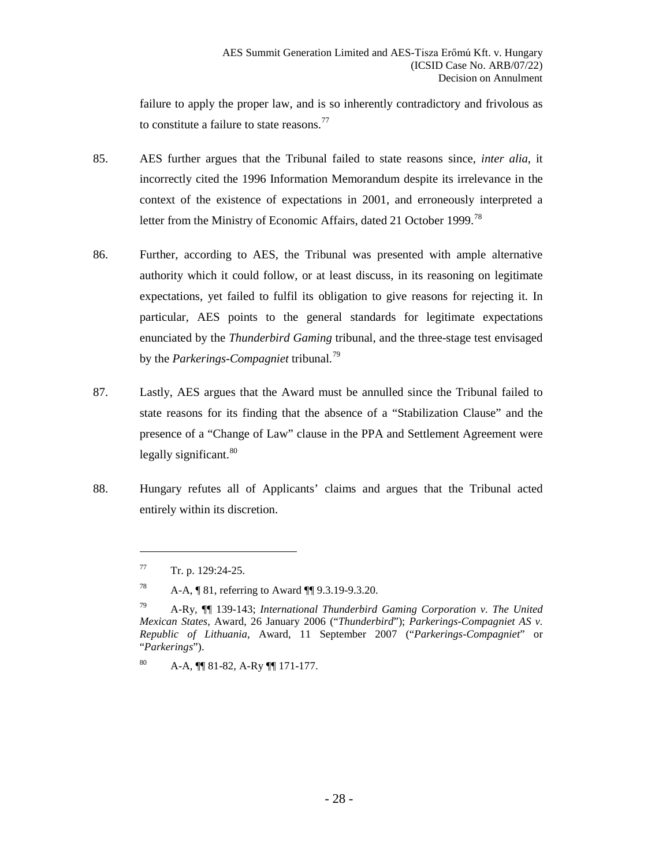failure to apply the proper law, and is so inherently contradictory and frivolous as to constitute a failure to state reasons.<sup>[77](#page-27-0)</sup>

- 85. AES further argues that the Tribunal failed to state reasons since, *inter alia*, it incorrectly cited the 1996 Information Memorandum despite its irrelevance in the context of the existence of expectations in 2001, and erroneously interpreted a letter from the Ministry of Economic Affairs, dated 21 October 1999.<sup>[78](#page-27-1)</sup>
- 86. Further, according to AES, the Tribunal was presented with ample alternative authority which it could follow, or at least discuss, in its reasoning on legitimate expectations, yet failed to fulfil its obligation to give reasons for rejecting it. In particular, AES points to the general standards for legitimate expectations enunciated by the *Thunderbird Gaming* tribunal, and the three-stage test envisaged by the *Parkerings-Compagniet* tribunal.[79](#page-27-2)
- 87. Lastly, AES argues that the Award must be annulled since the Tribunal failed to state reasons for its finding that the absence of a "Stabilization Clause" and the presence of a "Change of Law" clause in the PPA and Settlement Agreement were legally significant.<sup>[80](#page-27-3)</sup>
- <span id="page-27-0"></span>88. Hungary refutes all of Applicants' claims and argues that the Tribunal acted entirely within its discretion.

 $Tr. p. 129:24-25.$ 

<span id="page-27-1"></span><sup>78</sup> A-A, ¶ 81, referring to Award ¶¶ 9.3.19-9.3.20.

<span id="page-27-2"></span><sup>79</sup> A-Ry, ¶¶ 139-143; *International Thunderbird Gaming Corporation v. The United Mexican States*, Award, 26 January 2006 ("*Thunderbird*"); *Parkerings-Compagniet AS v. Republic of Lithuania*, Award, 11 September 2007 ("*Parkerings-Compagniet*" or "*Parkerings*").

<span id="page-27-3"></span><sup>80</sup> A-A, ¶¶ 81-82, A-Ry ¶¶ 171-177.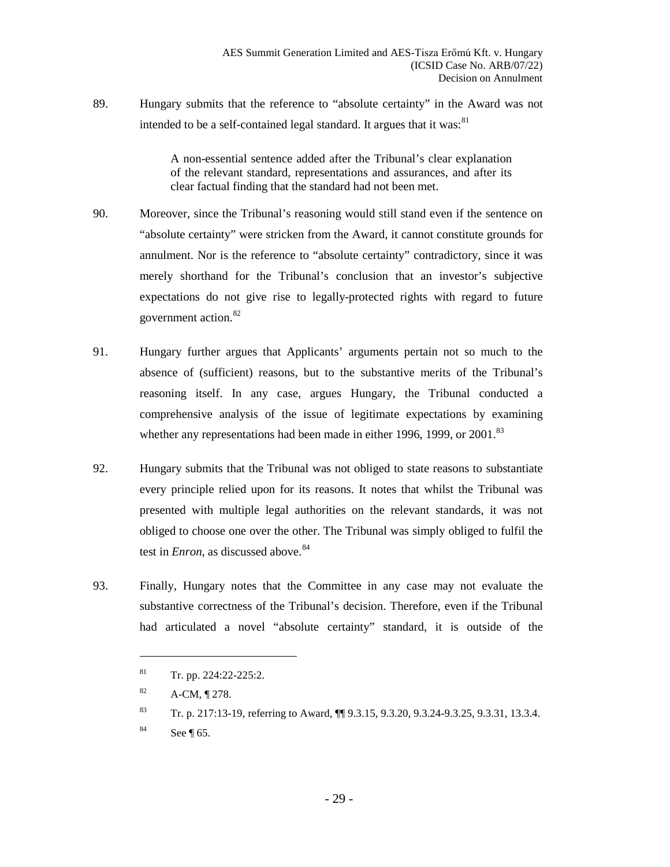89. Hungary submits that the reference to "absolute certainty" in the Award was not intended to be a self-contained legal standard. It argues that it was:  $81$ 

> A non-essential sentence added after the Tribunal's clear explanation of the relevant standard, representations and assurances, and after its clear factual finding that the standard had not been met.

- 90. Moreover, since the Tribunal's reasoning would still stand even if the sentence on "absolute certainty" were stricken from the Award, it cannot constitute grounds for annulment. Nor is the reference to "absolute certainty" contradictory, since it was merely shorthand for the Tribunal's conclusion that an investor's subjective expectations do not give rise to legally-protected rights with regard to future government action.[82](#page-28-1)
- 91. Hungary further argues that Applicants' arguments pertain not so much to the absence of (sufficient) reasons, but to the substantive merits of the Tribunal's reasoning itself. In any case, argues Hungary, the Tribunal conducted a comprehensive analysis of the issue of legitimate expectations by examining whether any representations had been made in either 1996, 1999, or 2001.<sup>[83](#page-28-2)</sup>
- 92. Hungary submits that the Tribunal was not obliged to state reasons to substantiate every principle relied upon for its reasons. It notes that whilst the Tribunal was presented with multiple legal authorities on the relevant standards, it was not obliged to choose one over the other. The Tribunal was simply obliged to fulfil the test in *Enron*, as discussed above.<sup>[84](#page-28-3)</sup>
- <span id="page-28-0"></span>93. Finally, Hungary notes that the Committee in any case may not evaluate the substantive correctness of the Tribunal's decision. Therefore, even if the Tribunal had articulated a novel "absolute certainty" standard, it is outside of the

 $81$  Tr. pp. 224:22-225:2.

<span id="page-28-1"></span> $82$  A-CM,  $\P$  278.

<span id="page-28-2"></span><sup>83</sup> Tr. p. 217:13-19, referring to Award, ¶¶ 9.3.15, 9.3.20, 9.3.24-9.3.25, 9.3.31, 13.3.4.

<span id="page-28-3"></span> $84$  See ¶ [65.](#page-21-5)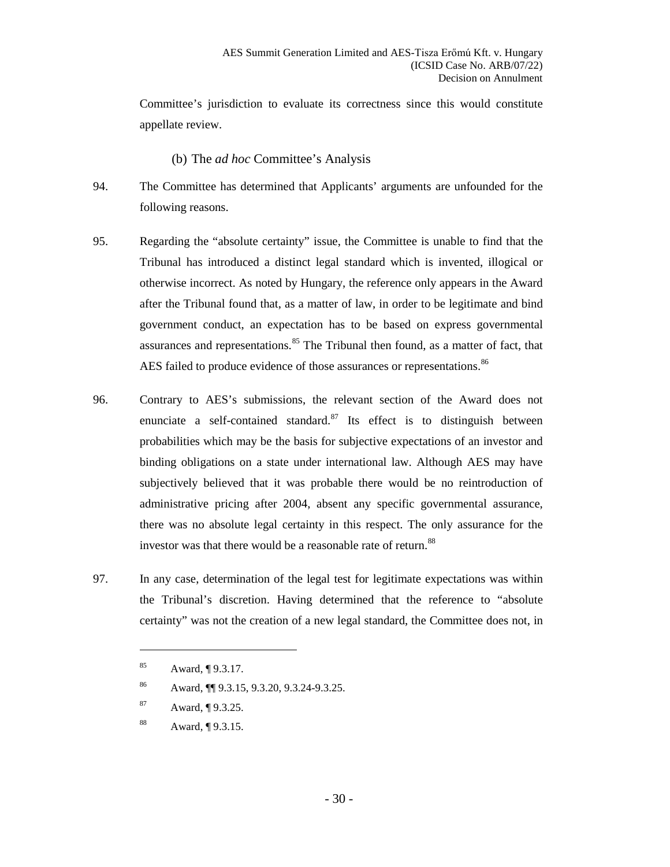Committee's jurisdiction to evaluate its correctness since this would constitute appellate review.

#### (b) The *ad hoc* Committee's Analysis

- <span id="page-29-0"></span>94. The Committee has determined that Applicants' arguments are unfounded for the following reasons.
- 95. Regarding the "absolute certainty" issue, the Committee is unable to find that the Tribunal has introduced a distinct legal standard which is invented, illogical or otherwise incorrect. As noted by Hungary, the reference only appears in the Award after the Tribunal found that, as a matter of law, in order to be legitimate and bind government conduct, an expectation has to be based on express governmental assurances and representations.<sup>[85](#page-29-1)</sup> The Tribunal then found, as a matter of fact, that AES failed to produce evidence of those assurances or representations.<sup>[86](#page-29-2)</sup>
- 96. Contrary to AES's submissions, the relevant section of the Award does not enunciate a self-contained standard. $87$  Its effect is to distinguish between probabilities which may be the basis for subjective expectations of an investor and binding obligations on a state under international law. Although AES may have subjectively believed that it was probable there would be no reintroduction of administrative pricing after 2004, absent any specific governmental assurance, there was no absolute legal certainty in this respect. The only assurance for the investor was that there would be a reasonable rate of return.<sup>[88](#page-29-4)</sup>
- <span id="page-29-1"></span>97. In any case, determination of the legal test for legitimate expectations was within the Tribunal's discretion. Having determined that the reference to "absolute certainty" was not the creation of a new legal standard, the Committee does not, in

<sup>85</sup> Award, ¶ 9.3.17.

<sup>86</sup> Award, ¶¶ 9.3.15, 9.3.20, 9.3.24-9.3.25.

<span id="page-29-3"></span><span id="page-29-2"></span><sup>87</sup> Award, ¶ 9.3.25.

<span id="page-29-4"></span><sup>88</sup> Award, ¶ 9.3.15.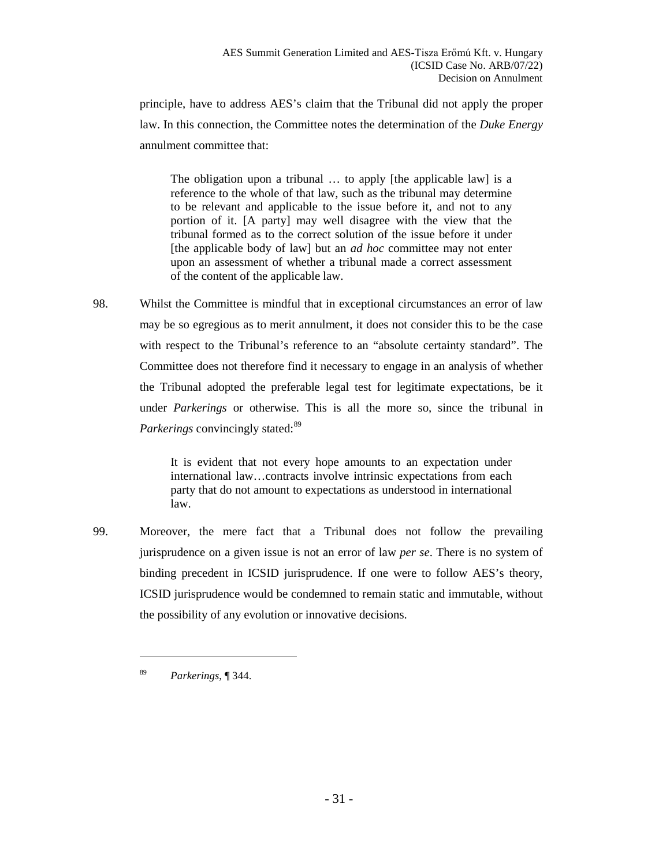principle, have to address AES's claim that the Tribunal did not apply the proper law. In this connection, the Committee notes the determination of the *Duke Energy*  annulment committee that:

The obligation upon a tribunal ... to apply [the applicable law] is a reference to the whole of that law, such as the tribunal may determine to be relevant and applicable to the issue before it, and not to any portion of it. [A party] may well disagree with the view that the tribunal formed as to the correct solution of the issue before it under [the applicable body of law] but an *ad hoc* committee may not enter upon an assessment of whether a tribunal made a correct assessment of the content of the applicable law.

98. Whilst the Committee is mindful that in exceptional circumstances an error of law may be so egregious as to merit annulment, it does not consider this to be the case with respect to the Tribunal's reference to an "absolute certainty standard". The Committee does not therefore find it necessary to engage in an analysis of whether the Tribunal adopted the preferable legal test for legitimate expectations, be it under *Parkerings* or otherwise. This is all the more so, since the tribunal in *Parkerings* convincingly stated:<sup>[89](#page-30-0)</sup>

> It is evident that not every hope amounts to an expectation under international law…contracts involve intrinsic expectations from each party that do not amount to expectations as understood in international law.

99. Moreover, the mere fact that a Tribunal does not follow the prevailing jurisprudence on a given issue is not an error of law *per se*. There is no system of binding precedent in ICSID jurisprudence. If one were to follow AES's theory, ICSID jurisprudence would be condemned to remain static and immutable, without the possibility of any evolution or innovative decisions.

<span id="page-30-0"></span><sup>89</sup> *Parkerings*, ¶ 344.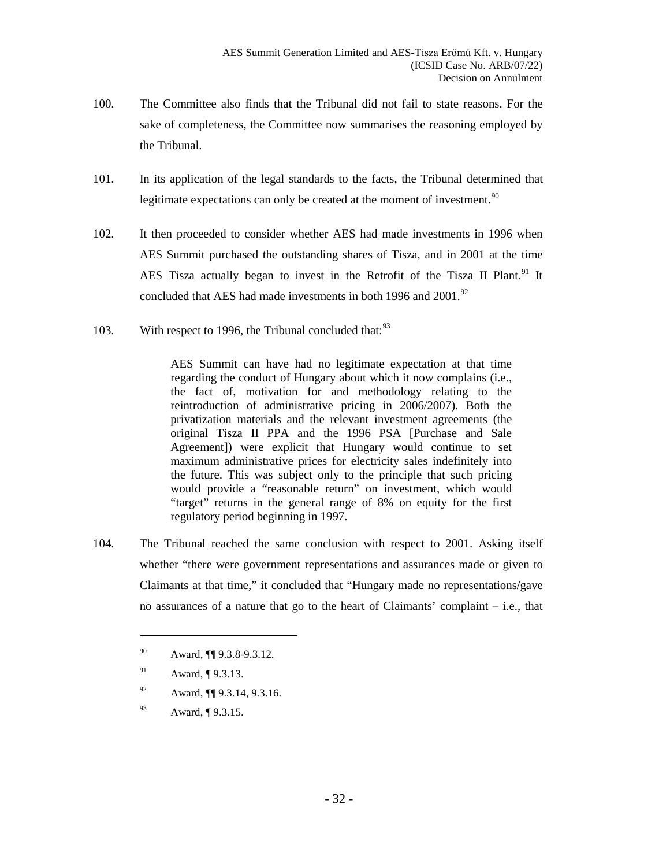- 100. The Committee also finds that the Tribunal did not fail to state reasons. For the sake of completeness, the Committee now summarises the reasoning employed by the Tribunal.
- 101. In its application of the legal standards to the facts, the Tribunal determined that legitimate expectations can only be created at the moment of investment.<sup>[90](#page-31-0)</sup>
- 102. It then proceeded to consider whether AES had made investments in 1996 when AES Summit purchased the outstanding shares of Tisza, and in 2001 at the time AES Tisza actually began to invest in the Retrofit of the Tisza II Plant.<sup>[91](#page-31-1)</sup> It concluded that AES had made investments in both 1996 and 2001.<sup>[92](#page-31-2)</sup>
- 103. With respect to 1996, the Tribunal concluded that:<sup>[93](#page-31-3)</sup>

AES Summit can have had no legitimate expectation at that time regarding the conduct of Hungary about which it now complains (i.e., the fact of, motivation for and methodology relating to the reintroduction of administrative pricing in 2006/2007). Both the privatization materials and the relevant investment agreements (the original Tisza II PPA and the 1996 PSA [Purchase and Sale Agreement]) were explicit that Hungary would continue to set maximum administrative prices for electricity sales indefinitely into the future. This was subject only to the principle that such pricing would provide a "reasonable return" on investment, which would "target" returns in the general range of 8% on equity for the first regulatory period beginning in 1997.

104. The Tribunal reached the same conclusion with respect to 2001. Asking itself whether "there were government representations and assurances made or given to Claimants at that time," it concluded that "Hungary made no representations/gave no assurances of a nature that go to the heart of Claimants' complaint – i.e., that

- <span id="page-31-2"></span><sup>92</sup> Award, ¶¶ 9.3.14, 9.3.16.
- <span id="page-31-3"></span><sup>93</sup> Award, ¶ 9.3.15.

<span id="page-31-0"></span><sup>90</sup> Award, ¶¶ 9.3.8-9.3.12.

<span id="page-31-1"></span><sup>91</sup> Award, ¶ 9.3.13.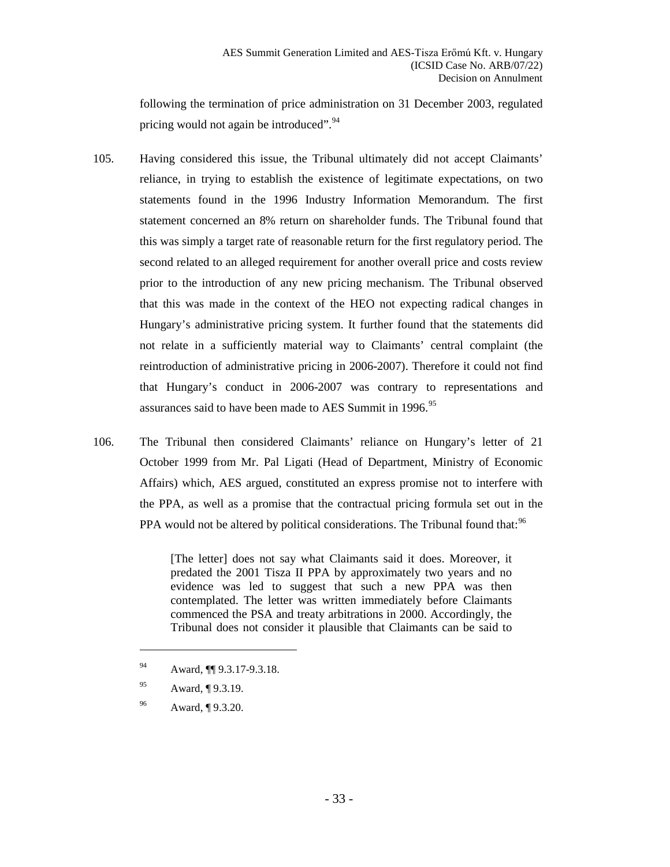following the termination of price administration on 31 December 2003, regulated pricing would not again be introduced".<sup>[94](#page-32-0)</sup>

- 105. Having considered this issue, the Tribunal ultimately did not accept Claimants' reliance, in trying to establish the existence of legitimate expectations, on two statements found in the 1996 Industry Information Memorandum. The first statement concerned an 8% return on shareholder funds. The Tribunal found that this was simply a target rate of reasonable return for the first regulatory period. The second related to an alleged requirement for another overall price and costs review prior to the introduction of any new pricing mechanism. The Tribunal observed that this was made in the context of the HEO not expecting radical changes in Hungary's administrative pricing system. It further found that the statements did not relate in a sufficiently material way to Claimants' central complaint (the reintroduction of administrative pricing in 2006-2007). Therefore it could not find that Hungary's conduct in 2006-2007 was contrary to representations and assurances said to have been made to AES Summit in 1996.<sup>[95](#page-32-1)</sup>
- 106. The Tribunal then considered Claimants' reliance on Hungary's letter of 21 October 1999 from Mr. Pal Ligati (Head of Department, Ministry of Economic Affairs) which, AES argued, constituted an express promise not to interfere with the PPA, as well as a promise that the contractual pricing formula set out in the PPA would not be altered by political considerations. The Tribunal found that:<sup>[96](#page-32-2)</sup>

[The letter] does not say what Claimants said it does. Moreover, it predated the 2001 Tisza II PPA by approximately two years and no evidence was led to suggest that such a new PPA was then contemplated. The letter was written immediately before Claimants commenced the PSA and treaty arbitrations in 2000. Accordingly, the Tribunal does not consider it plausible that Claimants can be said to

<span id="page-32-1"></span><sup>95</sup> Award, ¶ 9.3.19.

 $\overline{a}$ 

<span id="page-32-2"></span><sup>96</sup> Award, ¶ 9.3.20.

<span id="page-32-0"></span><sup>94</sup> Award, ¶¶ 9.3.17-9.3.18.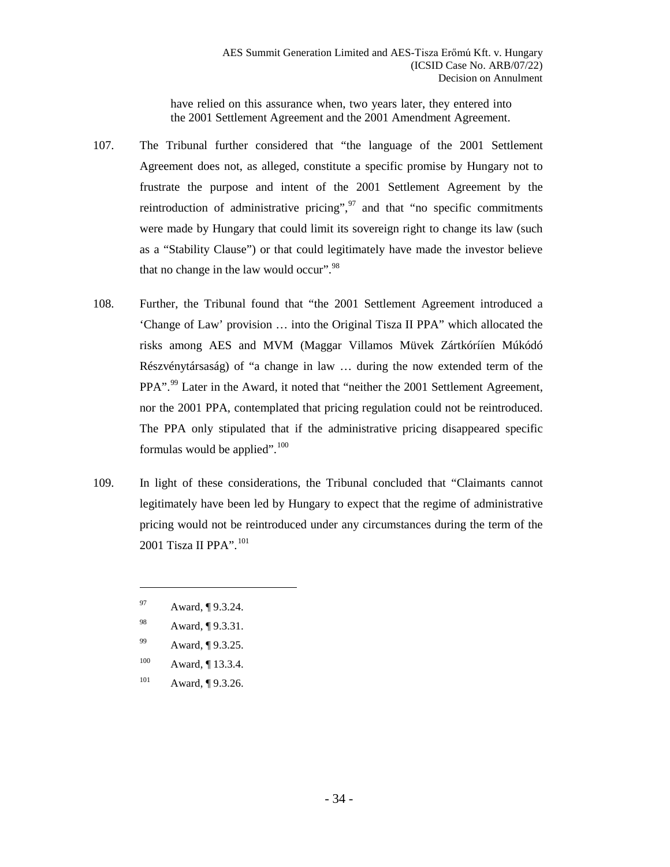have relied on this assurance when, two years later, they entered into the 2001 Settlement Agreement and the 2001 Amendment Agreement.

- 107. The Tribunal further considered that "the language of the 2001 Settlement Agreement does not, as alleged, constitute a specific promise by Hungary not to frustrate the purpose and intent of the 2001 Settlement Agreement by the reintroduction of administrative pricing",  $97$  and that "no specific commitments" were made by Hungary that could limit its sovereign right to change its law (such as a "Stability Clause") or that could legitimately have made the investor believe that no change in the law would occur". $98$
- 108. Further, the Tribunal found that "the 2001 Settlement Agreement introduced a 'Change of Law' provision … into the Original Tisza II PPA" which allocated the risks among AES and MVM (Maggar Villamos Müvek Zártkórííen Múkódó Részvénytársaság) of "a change in law … during the now extended term of the PPA".<sup>[99](#page-33-2)</sup> Later in the Award, it noted that "neither the 2001 Settlement Agreement, nor the 2001 PPA, contemplated that pricing regulation could not be reintroduced. The PPA only stipulated that if the administrative pricing disappeared specific formulas would be applied". $100$
- 109. In light of these considerations, the Tribunal concluded that "Claimants cannot legitimately have been led by Hungary to expect that the regime of administrative pricing would not be reintroduced under any circumstances during the term of the 2001 Tisza II PPA".<sup>[101](#page-33-4)</sup>

- <span id="page-33-3"></span>100 Award, ¶ 13.3.4.
- <span id="page-33-4"></span>101 Award,  $\P$  9.3.26.

<span id="page-33-0"></span><sup>97</sup> Award, ¶ 9.3.24.

<span id="page-33-1"></span><sup>98</sup> Award, ¶ 9.3.31.

<span id="page-33-2"></span><sup>99</sup> Award, ¶ 9.3.25.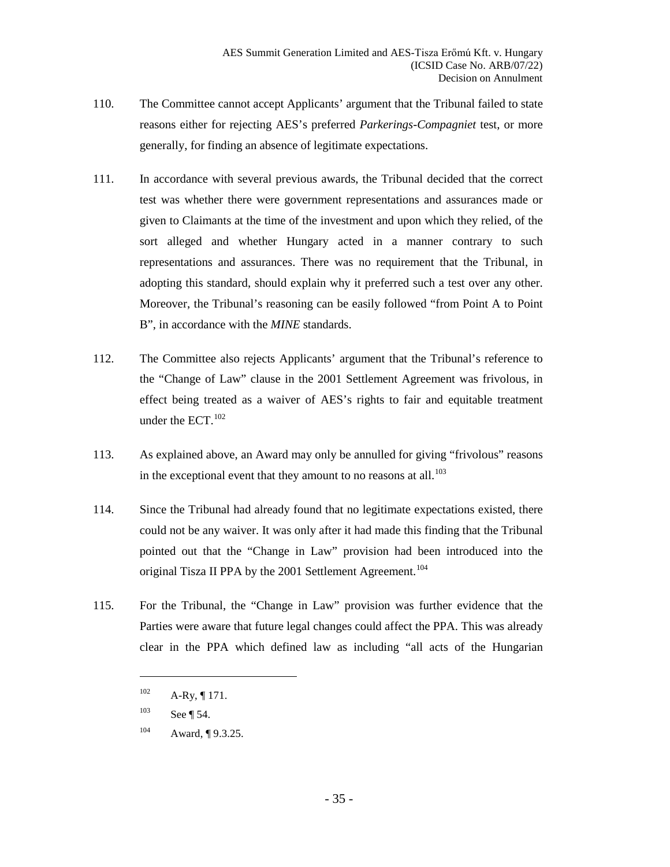- 110. The Committee cannot accept Applicants' argument that the Tribunal failed to state reasons either for rejecting AES's preferred *Parkerings-Compagniet* test, or more generally, for finding an absence of legitimate expectations.
- 111. In accordance with several previous awards, the Tribunal decided that the correct test was whether there were government representations and assurances made or given to Claimants at the time of the investment and upon which they relied, of the sort alleged and whether Hungary acted in a manner contrary to such representations and assurances. There was no requirement that the Tribunal, in adopting this standard, should explain why it preferred such a test over any other. Moreover, the Tribunal's reasoning can be easily followed "from Point A to Point B", in accordance with the *MINE* standards.
- 112. The Committee also rejects Applicants' argument that the Tribunal's reference to the "Change of Law" clause in the 2001 Settlement Agreement was frivolous, in effect being treated as a waiver of AES's rights to fair and equitable treatment under the ECT.<sup>[102](#page-34-0)</sup>
- 113. As explained above, an Award may only be annulled for giving "frivolous" reasons in the exceptional event that they amount to no reasons at all.<sup>[103](#page-34-1)</sup>
- 114. Since the Tribunal had already found that no legitimate expectations existed, there could not be any waiver. It was only after it had made this finding that the Tribunal pointed out that the "Change in Law" provision had been introduced into the original Tisza II PPA by the 2001 Settlement Agreement.<sup>[104](#page-34-2)</sup>
- <span id="page-34-0"></span>115. For the Tribunal, the "Change in Law" provision was further evidence that the Parties were aware that future legal changes could affect the PPA. This was already clear in the PPA which defined law as including "all acts of the Hungarian

 $102$  A-Ry, ¶ 171.

<span id="page-34-1"></span> $103$  See ¶ [54.](#page-17-3)

<span id="page-34-2"></span> $104$  Award,  $\P$  9.3.25.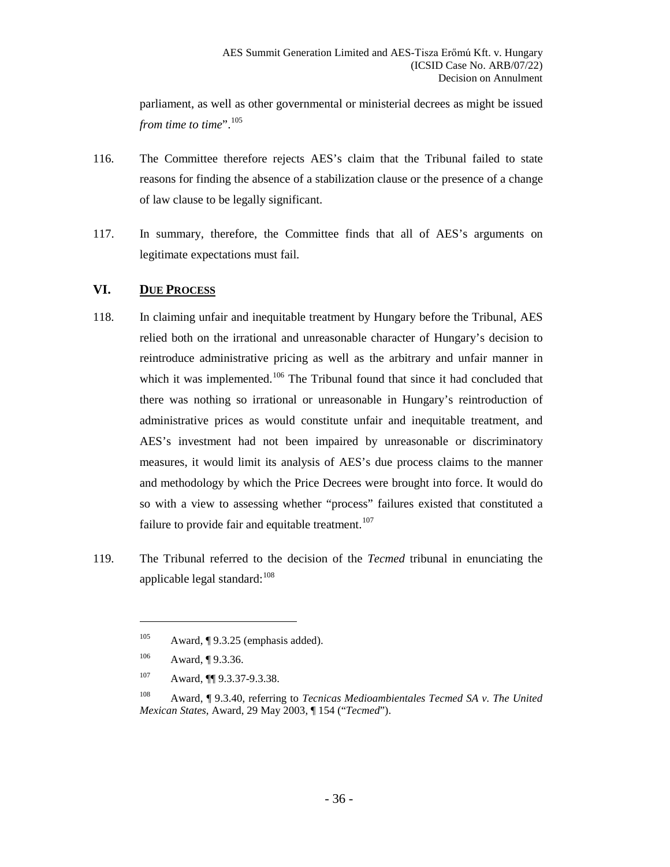parliament, as well as other governmental or ministerial decrees as might be issued *from time to time*".<sup>[105](#page-35-1)</sup>

- 116. The Committee therefore rejects AES's claim that the Tribunal failed to state reasons for finding the absence of a stabilization clause or the presence of a change of law clause to be legally significant.
- 117. In summary, therefore, the Committee finds that all of AES's arguments on legitimate expectations must fail.

#### <span id="page-35-0"></span>**VI. DUE PROCESS**

- 118. In claiming unfair and inequitable treatment by Hungary before the Tribunal, AES relied both on the irrational and unreasonable character of Hungary's decision to reintroduce administrative pricing as well as the arbitrary and unfair manner in which it was implemented.<sup>[106](#page-35-2)</sup> The Tribunal found that since it had concluded that there was nothing so irrational or unreasonable in Hungary's reintroduction of administrative prices as would constitute unfair and inequitable treatment, and AES's investment had not been impaired by unreasonable or discriminatory measures, it would limit its analysis of AES's due process claims to the manner and methodology by which the Price Decrees were brought into force. It would do so with a view to assessing whether "process" failures existed that constituted a failure to provide fair and equitable treatment.<sup>[107](#page-35-3)</sup>
- <span id="page-35-2"></span><span id="page-35-1"></span>119. The Tribunal referred to the decision of the *Tecmed* tribunal in enunciating the applicable legal standard: $108$

<sup>&</sup>lt;sup>105</sup> Award, ¶ 9.3.25 (emphasis added).

<sup>106</sup> Award, ¶ 9.3.36.

<sup>107</sup> Award, **[1]** 9.3.37-9.3.38.

<span id="page-35-4"></span><span id="page-35-3"></span><sup>108</sup> Award, ¶ 9.3.40, referring to *Tecnicas Medioambientales Tecmed SA v. The United Mexican States*, Award, 29 May 2003, ¶ 154 ("*Tecmed*").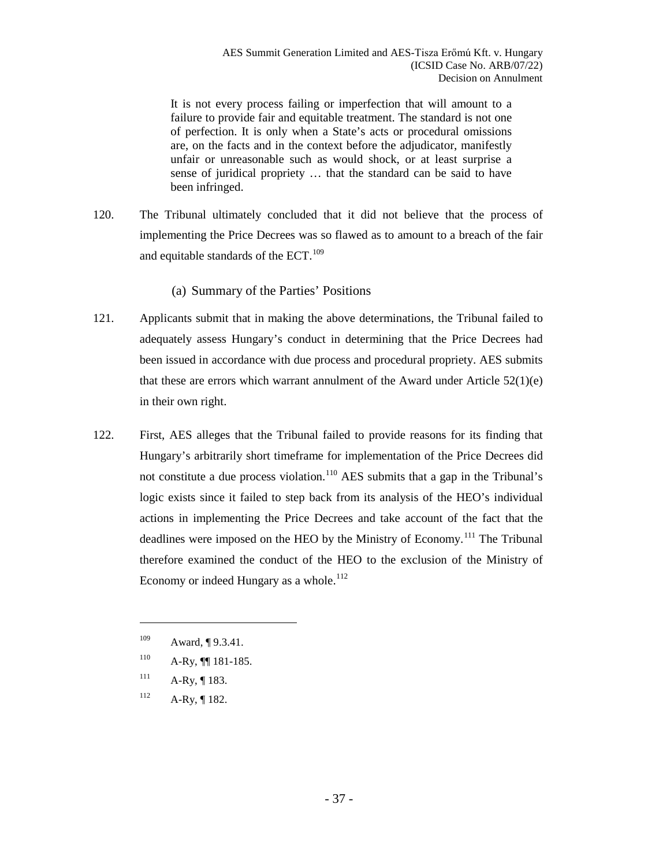It is not every process failing or imperfection that will amount to a failure to provide fair and equitable treatment. The standard is not one of perfection. It is only when a State's acts or procedural omissions are, on the facts and in the context before the adjudicator, manifestly unfair or unreasonable such as would shock, or at least surprise a sense of juridical propriety … that the standard can be said to have been infringed.

120. The Tribunal ultimately concluded that it did not believe that the process of implementing the Price Decrees was so flawed as to amount to a breach of the fair and equitable standards of the ECT.<sup>[109](#page-36-1)</sup>

(a) Summary of the Parties' Positions

- <span id="page-36-0"></span>121. Applicants submit that in making the above determinations, the Tribunal failed to adequately assess Hungary's conduct in determining that the Price Decrees had been issued in accordance with due process and procedural propriety. AES submits that these are errors which warrant annulment of the Award under Article  $52(1)(e)$ in their own right.
- 122. First, AES alleges that the Tribunal failed to provide reasons for its finding that Hungary's arbitrarily short timeframe for implementation of the Price Decrees did not constitute a due process violation.<sup>[110](#page-36-2)</sup> AES submits that a gap in the Tribunal's logic exists since it failed to step back from its analysis of the HEO's individual actions in implementing the Price Decrees and take account of the fact that the deadlines were imposed on the HEO by the Ministry of Economy.<sup>[111](#page-36-3)</sup> The Tribunal therefore examined the conduct of the HEO to the exclusion of the Ministry of Economy or indeed Hungary as a whole.<sup>[112](#page-36-4)</sup>

 $111$  A-Ry, ¶ 183.

 $\overline{a}$ 

<span id="page-36-4"></span><span id="page-36-3"></span> $112$  A-Ry, 182.

<span id="page-36-1"></span><sup>109</sup> Award, ¶ 9.3.41.

<span id="page-36-2"></span> $^{110}$  A-Ry,  $\P$  181-185.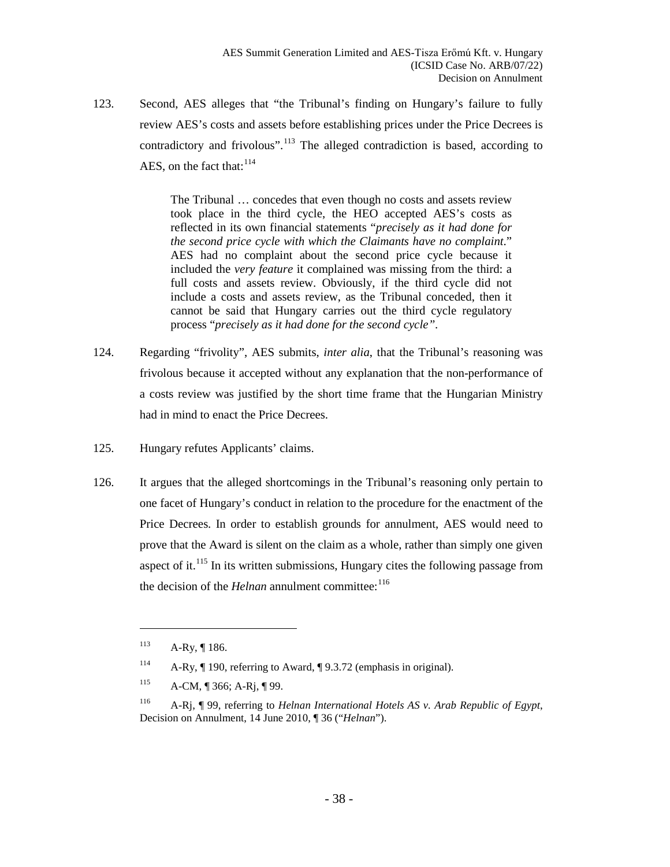123. Second, AES alleges that "the Tribunal's finding on Hungary's failure to fully review AES's costs and assets before establishing prices under the Price Decrees is contradictory and frivolous".<sup>[113](#page-37-0)</sup> The alleged contradiction is based, according to AES, on the fact that:  $114$ 

> The Tribunal … concedes that even though no costs and assets review took place in the third cycle, the HEO accepted AES's costs as reflected in its own financial statements "*precisely as it had done for the second price cycle with which the Claimants have no complaint*." AES had no complaint about the second price cycle because it included the *very feature* it complained was missing from the third: a full costs and assets review. Obviously, if the third cycle did not include a costs and assets review, as the Tribunal conceded, then it cannot be said that Hungary carries out the third cycle regulatory process "*precisely as it had done for the second cycle"*.

- 124. Regarding "frivolity", AES submits, *inter alia*, that the Tribunal's reasoning was frivolous because it accepted without any explanation that the non-performance of a costs review was justified by the short time frame that the Hungarian Ministry had in mind to enact the Price Decrees.
- 125. Hungary refutes Applicants' claims.
- 126. It argues that the alleged shortcomings in the Tribunal's reasoning only pertain to one facet of Hungary's conduct in relation to the procedure for the enactment of the Price Decrees. In order to establish grounds for annulment, AES would need to prove that the Award is silent on the claim as a whole, rather than simply one given aspect of it.<sup>[115](#page-37-2)</sup> In its written submissions, Hungary cites the following passage from the decision of the *Helnan* annulment committee:<sup>[116](#page-37-3)</sup>

<span id="page-37-0"></span> $113$  A-Ry, 186.

<span id="page-37-1"></span><sup>114</sup> A-Ry, ¶ 190, referring to Award, ¶ 9.3.72 (emphasis in original).

<span id="page-37-2"></span> $^{115}$  A-CM, ¶ 366; A-Rj, ¶ 99.

<span id="page-37-3"></span><sup>116</sup> A-Rj, ¶ 99, referring to *Helnan International Hotels AS v. Arab Republic of Egypt*, Decision on Annulment, 14 June 2010, ¶ 36 ("*Helnan*").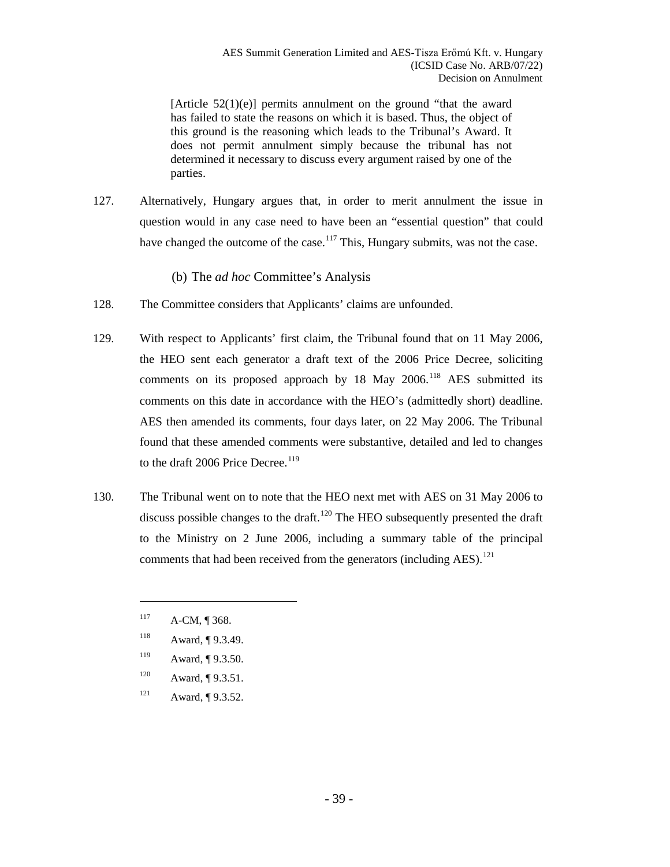[Article  $52(1)(e)$ ] permits annulment on the ground "that the award has failed to state the reasons on which it is based. Thus, the object of this ground is the reasoning which leads to the Tribunal's Award. It does not permit annulment simply because the tribunal has not determined it necessary to discuss every argument raised by one of the parties.

127. Alternatively, Hungary argues that, in order to merit annulment the issue in question would in any case need to have been an "essential question" that could have changed the outcome of the case.<sup>[117](#page-38-1)</sup> This, Hungary submits, was not the case.

(b) The *ad hoc* Committee's Analysis

- <span id="page-38-0"></span>128. The Committee considers that Applicants' claims are unfounded.
- 129. With respect to Applicants' first claim, the Tribunal found that on 11 May 2006, the HEO sent each generator a draft text of the 2006 Price Decree, soliciting comments on its proposed approach by 18 May 2006.<sup>[118](#page-38-2)</sup> AES submitted its comments on this date in accordance with the HEO's (admittedly short) deadline. AES then amended its comments, four days later, on 22 May 2006. The Tribunal found that these amended comments were substantive, detailed and led to changes to the draft 2006 Price Decree.<sup>[119](#page-38-3)</sup>
- 130. The Tribunal went on to note that the HEO next met with AES on 31 May 2006 to discuss possible changes to the draft.<sup>[120](#page-38-4)</sup> The HEO subsequently presented the draft to the Ministry on 2 June 2006, including a summary table of the principal comments that had been received from the generators (including  $\text{AES}$ ).<sup>[121](#page-38-5)</sup>
	- $^{117}$  A-CM, ¶ 368.

- <span id="page-38-2"></span><span id="page-38-1"></span>118 Award, ¶ 9.3.49.
- <span id="page-38-3"></span>119 Award, ¶ 9.3.50.
- <span id="page-38-4"></span> $120$  Award,  $\P$  9.3.51.
- <span id="page-38-5"></span> $121$  Award,  $\P$  9.3.52.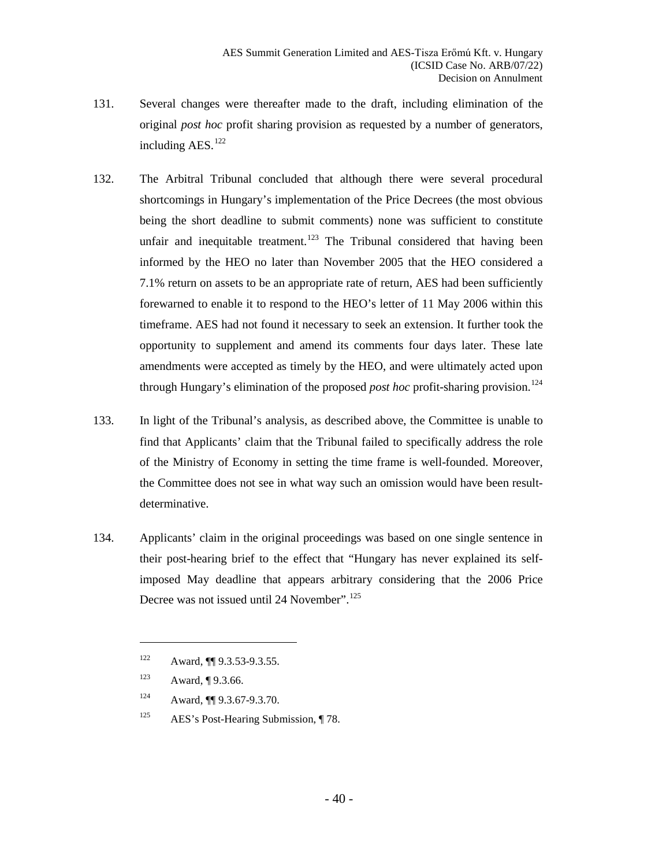- 131. Several changes were thereafter made to the draft, including elimination of the original *post hoc* profit sharing provision as requested by a number of generators, including AES.<sup>[122](#page-39-0)</sup>
- 132. The Arbitral Tribunal concluded that although there were several procedural shortcomings in Hungary's implementation of the Price Decrees (the most obvious being the short deadline to submit comments) none was sufficient to constitute unfair and inequitable treatment.<sup>[123](#page-39-1)</sup> The Tribunal considered that having been informed by the HEO no later than November 2005 that the HEO considered a 7.1% return on assets to be an appropriate rate of return, AES had been sufficiently forewarned to enable it to respond to the HEO's letter of 11 May 2006 within this timeframe. AES had not found it necessary to seek an extension. It further took the opportunity to supplement and amend its comments four days later. These late amendments were accepted as timely by the HEO, and were ultimately acted upon through Hungary's elimination of the proposed *post hoc* profit-sharing provision. [124](#page-39-2)
- 133. In light of the Tribunal's analysis, as described above, the Committee is unable to find that Applicants' claim that the Tribunal failed to specifically address the role of the Ministry of Economy in setting the time frame is well-founded. Moreover, the Committee does not see in what way such an omission would have been resultdeterminative.
- 134. Applicants' claim in the original proceedings was based on one single sentence in their post-hearing brief to the effect that "Hungary has never explained its selfimposed May deadline that appears arbitrary considering that the 2006 Price Decree was not issued until 24 November".<sup>[125](#page-39-3)</sup>

<span id="page-39-0"></span><sup>122</sup> Award, **[1]** 9.3.53-9.3.55.

<span id="page-39-1"></span><sup>123</sup> Award, ¶ 9.3.66.

<span id="page-39-2"></span><sup>124</sup> Award, ¶¶ 9.3.67-9.3.70.

<span id="page-39-3"></span><sup>&</sup>lt;sup>125</sup> AES's Post-Hearing Submission, ¶ 78.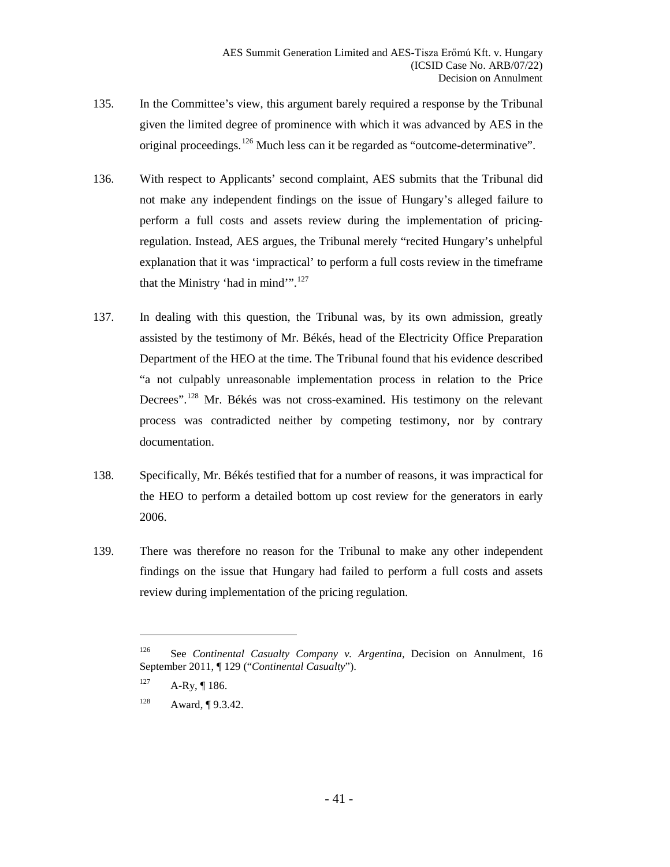- 135. In the Committee's view, this argument barely required a response by the Tribunal given the limited degree of prominence with which it was advanced by AES in the original proceedings.<sup>[126](#page-40-0)</sup> Much less can it be regarded as "outcome-determinative".
- 136. With respect to Applicants' second complaint, AES submits that the Tribunal did not make any independent findings on the issue of Hungary's alleged failure to perform a full costs and assets review during the implementation of pricingregulation. Instead, AES argues, the Tribunal merely "recited Hungary's unhelpful explanation that it was 'impractical' to perform a full costs review in the timeframe that the Ministry 'had in mind'".<sup>[127](#page-40-1)</sup>
- 137. In dealing with this question, the Tribunal was, by its own admission, greatly assisted by the testimony of Mr. Békés, head of the Electricity Office Preparation Department of the HEO at the time. The Tribunal found that his evidence described "a not culpably unreasonable implementation process in relation to the Price Decrees".<sup>[128](#page-40-2)</sup> Mr. Békés was not cross-examined. His testimony on the relevant process was contradicted neither by competing testimony, nor by contrary documentation.
- 138. Specifically, Mr. Békés testified that for a number of reasons, it was impractical for the HEO to perform a detailed bottom up cost review for the generators in early 2006.
- 139. There was therefore no reason for the Tribunal to make any other independent findings on the issue that Hungary had failed to perform a full costs and assets review during implementation of the pricing regulation.

<span id="page-40-0"></span><sup>126</sup> See *Continental Casualty Company v. Argentina*, Decision on Annulment, 16 September 2011, ¶ 129 ("*Continental Casualty*").

<span id="page-40-1"></span> $127$  A-Ry, ¶ 186.

<span id="page-40-2"></span><sup>128</sup> Award, ¶ 9.3.42.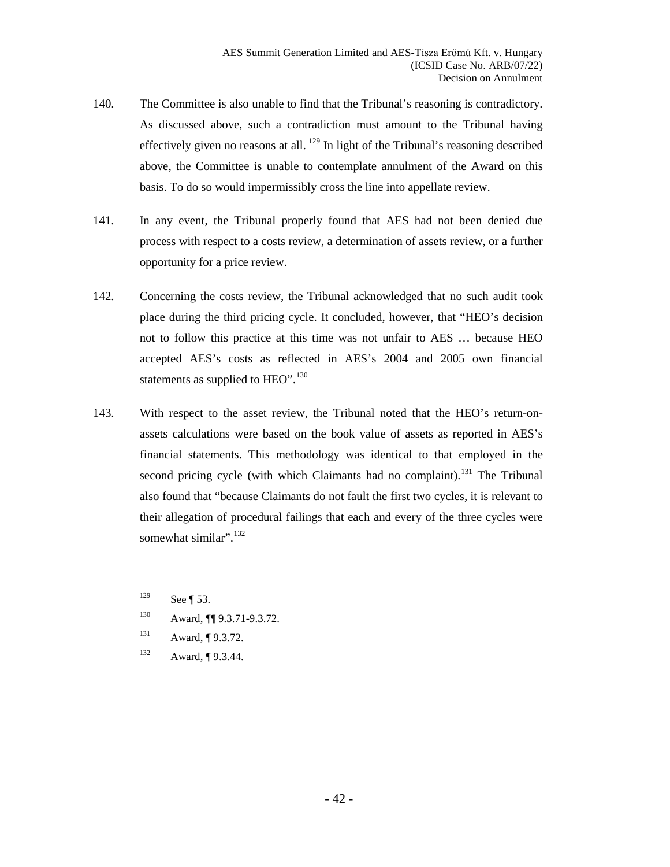- 140. The Committee is also unable to find that the Tribunal's reasoning is contradictory. As discussed above, such a contradiction must amount to the Tribunal having effectively given no reasons at all.  $^{129}$  $^{129}$  $^{129}$  In light of the Tribunal's reasoning described above, the Committee is unable to contemplate annulment of the Award on this basis. To do so would impermissibly cross the line into appellate review.
- 141. In any event, the Tribunal properly found that AES had not been denied due process with respect to a costs review, a determination of assets review, or a further opportunity for a price review.
- 142. Concerning the costs review, the Tribunal acknowledged that no such audit took place during the third pricing cycle. It concluded, however, that "HEO's decision not to follow this practice at this time was not unfair to AES … because HEO accepted AES's costs as reflected in AES's 2004 and 2005 own financial statements as supplied to HEO".  $^{130}$  $^{130}$  $^{130}$
- 143. With respect to the asset review, the Tribunal noted that the HEO's return-onassets calculations were based on the book value of assets as reported in AES's financial statements. This methodology was identical to that employed in the second pricing cycle (with which Claimants had no complaint).<sup>[131](#page-41-2)</sup> The Tribunal also found that "because Claimants do not fault the first two cycles, it is relevant to their allegation of procedural failings that each and every of the three cycles were somewhat similar".<sup>[132](#page-41-3)</sup>
	- $129$  See ¶ [53.](#page-17-4)

- <span id="page-41-1"></span><span id="page-41-0"></span>130 Award, ¶¶ 9.3.71-9.3.72.
- <span id="page-41-2"></span>131 Award, ¶ 9.3.72.
- <span id="page-41-3"></span>132 Award, ¶ 9.3.44.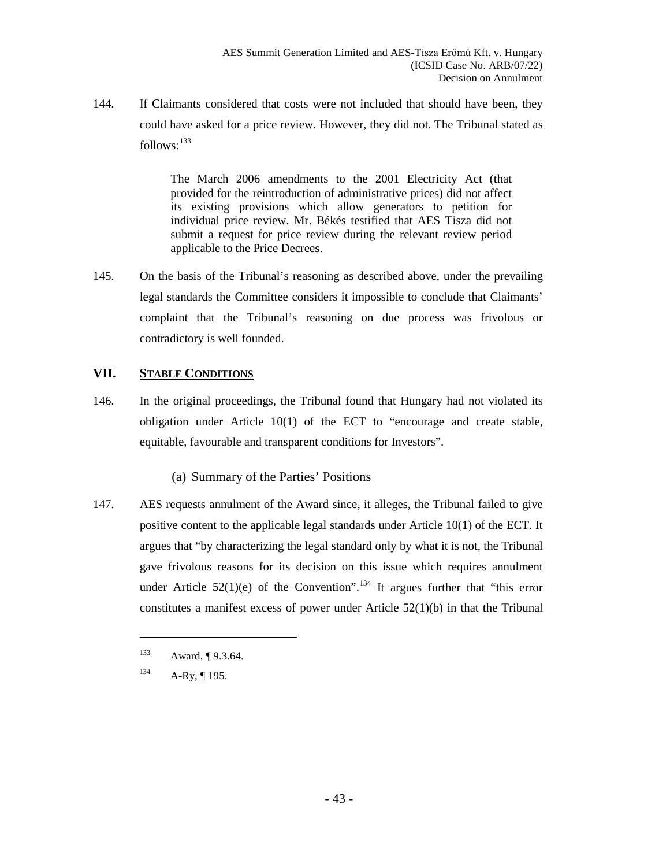144. If Claimants considered that costs were not included that should have been, they could have asked for a price review. However, they did not. The Tribunal stated as follows:  $133$ 

> The March 2006 amendments to the 2001 Electricity Act (that provided for the reintroduction of administrative prices) did not affect its existing provisions which allow generators to petition for individual price review. Mr. Békés testified that AES Tisza did not submit a request for price review during the relevant review period applicable to the Price Decrees.

145. On the basis of the Tribunal's reasoning as described above, under the prevailing legal standards the Committee considers it impossible to conclude that Claimants' complaint that the Tribunal's reasoning on due process was frivolous or contradictory is well founded.

## <span id="page-42-0"></span>**VII. STABLE CONDITIONS**

146. In the original proceedings, the Tribunal found that Hungary had not violated its obligation under Article 10(1) of the ECT to "encourage and create stable, equitable, favourable and transparent conditions for Investors".

## (a) Summary of the Parties' Positions

<span id="page-42-1"></span>147. AES requests annulment of the Award since, it alleges, the Tribunal failed to give positive content to the applicable legal standards under Article 10(1) of the ECT. It argues that "by characterizing the legal standard only by what it is not, the Tribunal gave frivolous reasons for its decision on this issue which requires annulment under Article  $52(1)(e)$  of the Convention".<sup>[134](#page-42-3)</sup> It argues further that "this error" constitutes a manifest excess of power under Article  $52(1)(b)$  in that the Tribunal

<span id="page-42-3"></span><span id="page-42-2"></span><sup>133</sup> Award, ¶ 9.3.64.

 $134$  A-Ry, 195.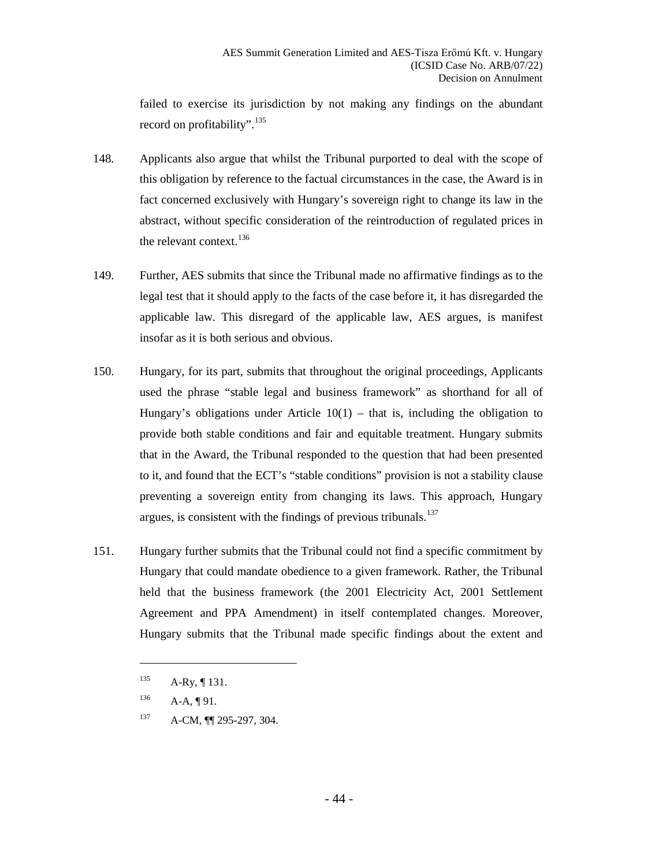failed to exercise its jurisdiction by not making any findings on the abundant record on profitability". [135](#page-43-0)

- 148. Applicants also argue that whilst the Tribunal purported to deal with the scope of this obligation by reference to the factual circumstances in the case, the Award is in fact concerned exclusively with Hungary's sovereign right to change its law in the abstract, without specific consideration of the reintroduction of regulated prices in the relevant context.<sup>[136](#page-43-1)</sup>
- 149. Further, AES submits that since the Tribunal made no affirmative findings as to the legal test that it should apply to the facts of the case before it, it has disregarded the applicable law. This disregard of the applicable law, AES argues, is manifest insofar as it is both serious and obvious.
- 150. Hungary, for its part, submits that throughout the original proceedings, Applicants used the phrase "stable legal and business framework" as shorthand for all of Hungary's obligations under Article  $10(1)$  – that is, including the obligation to provide both stable conditions and fair and equitable treatment. Hungary submits that in the Award, the Tribunal responded to the question that had been presented to it, and found that the ECT's "stable conditions" provision is not a stability clause preventing a sovereign entity from changing its laws. This approach, Hungary argues, is consistent with the findings of previous tribunals. $137$
- 151. Hungary further submits that the Tribunal could not find a specific commitment by Hungary that could mandate obedience to a given framework. Rather, the Tribunal held that the business framework (the 2001 Electricity Act, 2001 Settlement Agreement and PPA Amendment) in itself contemplated changes. Moreover, Hungary submits that the Tribunal made specific findings about the extent and

<span id="page-43-0"></span> $135$  A-Ry, 131.

<span id="page-43-1"></span> $136$  A-A, ¶ 91.

<span id="page-43-2"></span><sup>137</sup> A-CM, **[1]** 295-297, 304.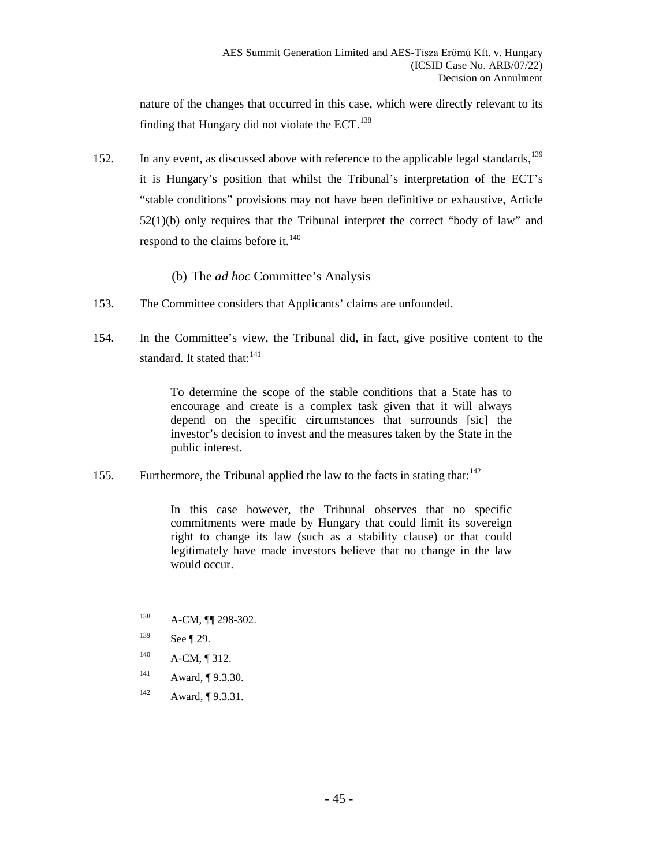nature of the changes that occurred in this case, which were directly relevant to its finding that Hungary did not violate the  $ECT$ .<sup>[138](#page-44-1)</sup>

152. In any event, as discussed above with reference to the applicable legal standards, <sup>[139](#page-44-2)</sup> it is Hungary's position that whilst the Tribunal's interpretation of the ECT's "stable conditions" provisions may not have been definitive or exhaustive, Article 52(1)(b) only requires that the Tribunal interpret the correct "body of law" and respond to the claims before it. $140$ 

#### (b) The *ad hoc* Committee's Analysis

- <span id="page-44-0"></span>153. The Committee considers that Applicants' claims are unfounded.
- 154. In the Committee's view, the Tribunal did, in fact, give positive content to the standard. It stated that: $141$

To determine the scope of the stable conditions that a State has to encourage and create is a complex task given that it will always depend on the specific circumstances that surrounds [sic] the investor's decision to invest and the measures taken by the State in the public interest.

155. Furthermore, the Tribunal applied the law to the facts in stating that:  $142$ 

In this case however, the Tribunal observes that no specific commitments were made by Hungary that could limit its sovereign right to change its law (such as a stability clause) or that could legitimately have made investors believe that no change in the law would occur.

<span id="page-44-2"></span>139 See ¶ [29.](#page-10-6)

- <span id="page-44-3"></span> $^{140}$  A-CM, 1 312.
- <span id="page-44-4"></span>141 Award, ¶ 9.3.30.
- <span id="page-44-5"></span><sup>142</sup> Award, ¶ 9.3.31.

<span id="page-44-1"></span><sup>138</sup> A-CM, **[1]** 298-302.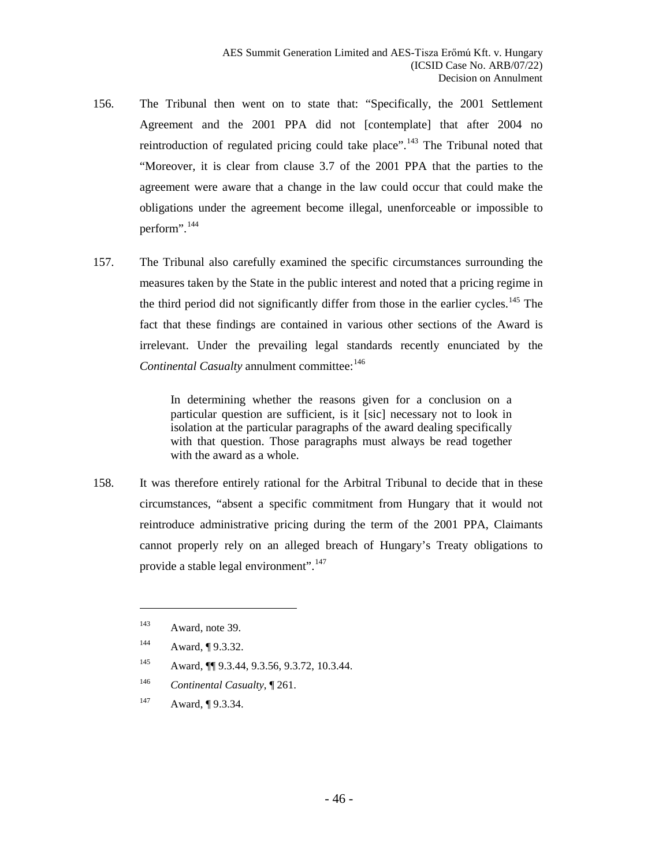- 156. The Tribunal then went on to state that: "Specifically, the 2001 Settlement Agreement and the 2001 PPA did not [contemplate] that after 2004 no reintroduction of regulated pricing could take place".<sup>[143](#page-45-0)</sup> The Tribunal noted that "Moreover, it is clear from clause 3.7 of the 2001 PPA that the parties to the agreement were aware that a change in the law could occur that could make the obligations under the agreement become illegal, unenforceable or impossible to perform".[144](#page-45-1)
- 157. The Tribunal also carefully examined the specific circumstances surrounding the measures taken by the State in the public interest and noted that a pricing regime in the third period did not significantly differ from those in the earlier cycles.<sup>[145](#page-45-2)</sup> The fact that these findings are contained in various other sections of the Award is irrelevant. Under the prevailing legal standards recently enunciated by the *Continental Casualty* annulment committee:<sup>[146](#page-45-3)</sup>

In determining whether the reasons given for a conclusion on a particular question are sufficient, is it [sic] necessary not to look in isolation at the particular paragraphs of the award dealing specifically with that question. Those paragraphs must always be read together with the award as a whole.

158. It was therefore entirely rational for the Arbitral Tribunal to decide that in these circumstances, "absent a specific commitment from Hungary that it would not reintroduce administrative pricing during the term of the 2001 PPA, Claimants cannot properly rely on an alleged breach of Hungary's Treaty obligations to provide a stable legal environment".<sup>[147](#page-45-4)</sup>

 $\overline{a}$ 

<span id="page-45-3"></span><sup>146</sup> *Continental Casualty*, ¶ 261.

<span id="page-45-0"></span><sup>143</sup> Award, note 39.

<span id="page-45-1"></span><sup>&</sup>lt;sup>144</sup> Award, ¶ 9.3.32.

<span id="page-45-2"></span><sup>145</sup> Award, ¶¶ 9.3.44, 9.3.56, 9.3.72, 10.3.44.

<span id="page-45-4"></span><sup>&</sup>lt;sup>147</sup> Award, ¶ 9.3.34.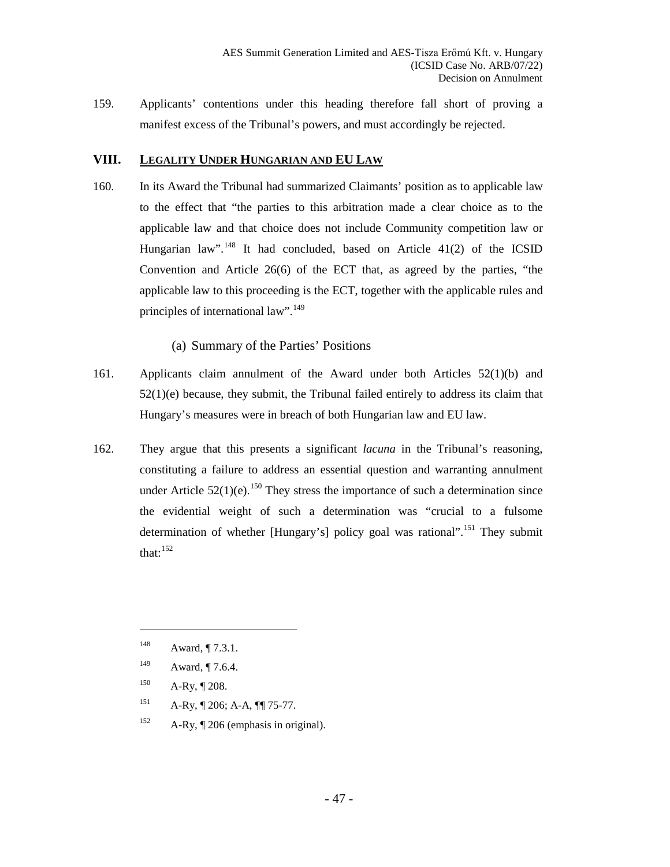159. Applicants' contentions under this heading therefore fall short of proving a manifest excess of the Tribunal's powers, and must accordingly be rejected.

#### <span id="page-46-0"></span>**VIII. LEGALITY UNDER HUNGARIAN AND EU LAW**

160. In its Award the Tribunal had summarized Claimants' position as to applicable law to the effect that "the parties to this arbitration made a clear choice as to the applicable law and that choice does not include Community competition law or Hungarian law".<sup>[148](#page-46-2)</sup> It had concluded, based on Article 41(2) of the ICSID Convention and Article 26(6) of the ECT that, as agreed by the parties, "the applicable law to this proceeding is the ECT, together with the applicable rules and principles of international law".<sup>[149](#page-46-3)</sup>

(a) Summary of the Parties' Positions

- <span id="page-46-1"></span>161. Applicants claim annulment of the Award under both Articles 52(1)(b) and 52(1)(e) because, they submit, the Tribunal failed entirely to address its claim that Hungary's measures were in breach of both Hungarian law and EU law.
- 162. They argue that this presents a significant *lacuna* in the Tribunal's reasoning, constituting a failure to address an essential question and warranting annulment under Article  $52(1)(e)$ .<sup>[150](#page-46-4)</sup> They stress the importance of such a determination since the evidential weight of such a determination was "crucial to a fulsome determination of whether [Hungary's] policy goal was rational".<sup>[151](#page-46-5)</sup> They submit that: $152$

- <span id="page-46-4"></span> $150$  A-Ry, 1208.
- <span id="page-46-5"></span> $^{151}$  A-Ry, ¶ 206; A-A, ¶¶ 75-77.
- <span id="page-46-6"></span><sup>152</sup> A-Ry,  $\P$  206 (emphasis in original).

<span id="page-46-2"></span><sup>148</sup> Award, ¶ 7.3.1.

<span id="page-46-3"></span><sup>&</sup>lt;sup>149</sup> Award, ¶ 7.6.4.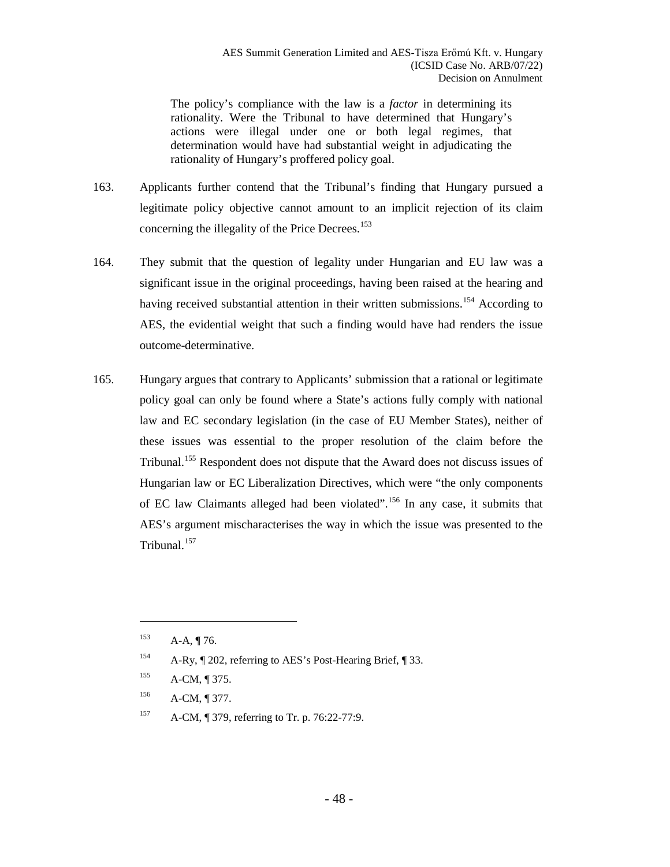The policy's compliance with the law is a *factor* in determining its rationality. Were the Tribunal to have determined that Hungary's actions were illegal under one or both legal regimes, that determination would have had substantial weight in adjudicating the rationality of Hungary's proffered policy goal.

- 163. Applicants further contend that the Tribunal's finding that Hungary pursued a legitimate policy objective cannot amount to an implicit rejection of its claim concerning the illegality of the Price Decrees.<sup>[153](#page-47-0)</sup>
- 164. They submit that the question of legality under Hungarian and EU law was a significant issue in the original proceedings, having been raised at the hearing and having received substantial attention in their written submissions.<sup>[154](#page-47-1)</sup> According to AES, the evidential weight that such a finding would have had renders the issue outcome-determinative.
- 165. Hungary argues that contrary to Applicants' submission that a rational or legitimate policy goal can only be found where a State's actions fully comply with national law and EC secondary legislation (in the case of EU Member States), neither of these issues was essential to the proper resolution of the claim before the Tribunal.[155](#page-47-2) Respondent does not dispute that the Award does not discuss issues of Hungarian law or EC Liberalization Directives, which were "the only components of EC law Claimants alleged had been violated".[156](#page-47-3) In any case, it submits that AES's argument mischaracterises the way in which the issue was presented to the Tribunal.<sup>[157](#page-47-4)</sup>

<span id="page-47-0"></span> $A-A, \P{76}.$ 

<span id="page-47-1"></span><sup>154</sup> A-Ry, ¶ 202, referring to AES's Post-Hearing Brief, ¶ 33.

 $^{155}$  A-CM, ¶ 375.

<span id="page-47-3"></span><span id="page-47-2"></span><sup>156</sup> A-CM, ¶ 377.

<span id="page-47-4"></span><sup>157</sup> A-CM, ¶ 379, referring to Tr. p. 76:22-77:9.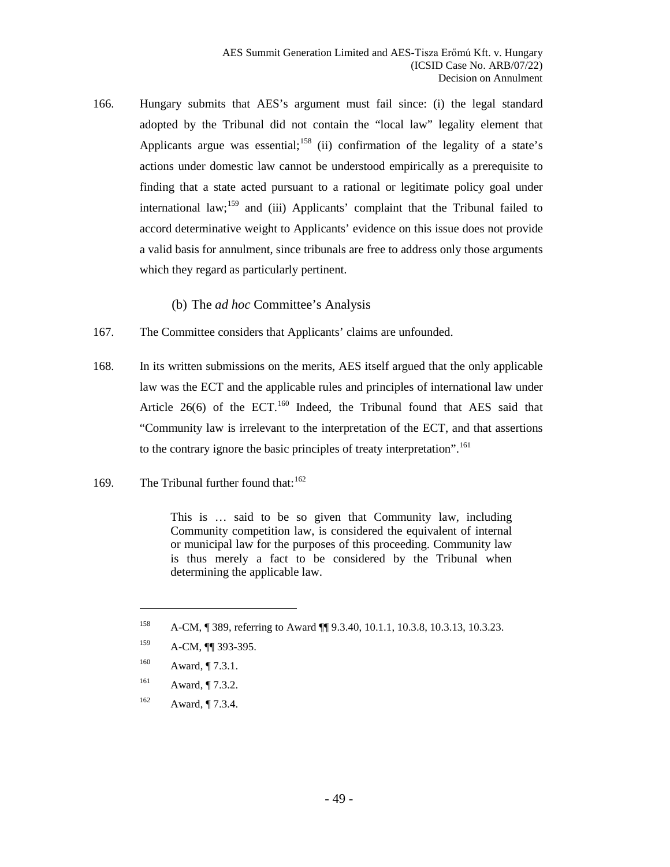166. Hungary submits that AES's argument must fail since: (i) the legal standard adopted by the Tribunal did not contain the "local law" legality element that Applicants argue was essential;<sup>[158](#page-48-1)</sup> (ii) confirmation of the legality of a state's actions under domestic law cannot be understood empirically as a prerequisite to finding that a state acted pursuant to a rational or legitimate policy goal under international law;  $159$  and (iii) Applicants' complaint that the Tribunal failed to accord determinative weight to Applicants' evidence on this issue does not provide a valid basis for annulment, since tribunals are free to address only those arguments which they regard as particularly pertinent.

(b) The *ad hoc* Committee's Analysis

- <span id="page-48-0"></span>167. The Committee considers that Applicants' claims are unfounded.
- 168. In its written submissions on the merits, AES itself argued that the only applicable law was the ECT and the applicable rules and principles of international law under Article  $26(6)$  of the ECT.<sup>[160](#page-48-3)</sup> Indeed, the Tribunal found that AES said that "Community law is irrelevant to the interpretation of the ECT, and that assertions to the contrary ignore the basic principles of treaty interpretation".<sup>[161](#page-48-4)</sup>
- 169. The Tribunal further found that:  $162$

This is … said to be so given that Community law, including Community competition law, is considered the equivalent of internal or municipal law for the purposes of this proceeding. Community law is thus merely a fact to be considered by the Tribunal when determining the applicable law.

- <span id="page-48-4"></span>161 Award, ¶ 7.3.2.
- <span id="page-48-5"></span> $162$  Award,  $\P$  7.3.4.

<span id="page-48-1"></span><sup>158</sup> A-CM, ¶ 389, referring to Award ¶¶ 9.3.40, 10.1.1, 10.3.8, 10.3.13, 10.3.23.

<span id="page-48-2"></span><sup>159</sup> A-CM, **[1]** 393-395.

<span id="page-48-3"></span> $160$  Award,  $\P$  7.3.1.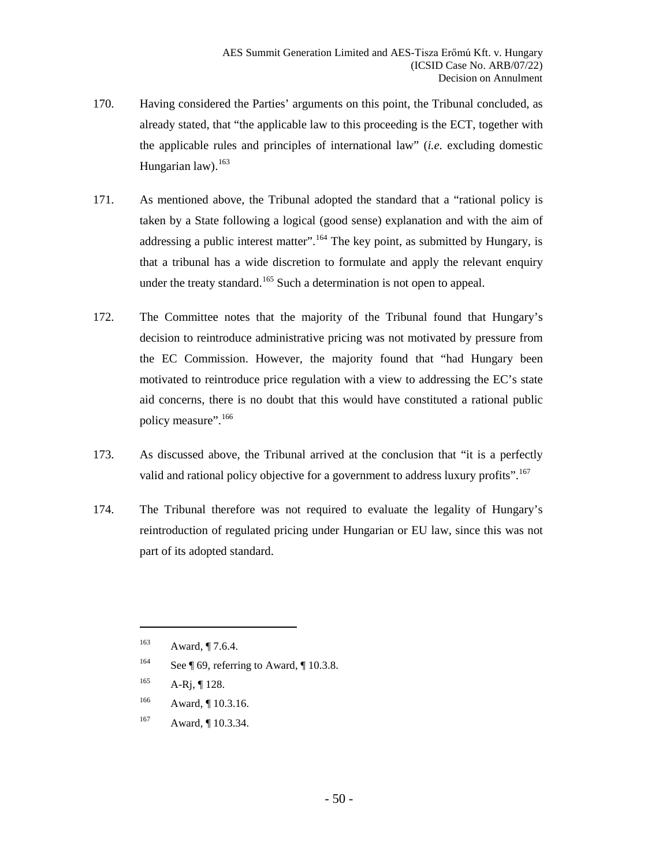- 170. Having considered the Parties' arguments on this point, the Tribunal concluded, as already stated, that "the applicable law to this proceeding is the ECT, together with the applicable rules and principles of international law" (*i.e.* excluding domestic Hungarian law). $163$
- 171. As mentioned above, the Tribunal adopted the standard that a "rational policy is taken by a State following a logical (good sense) explanation and with the aim of addressing a public interest matter".  $164$  The key point, as submitted by Hungary, is that a tribunal has a wide discretion to formulate and apply the relevant enquiry under the treaty standard.<sup>[165](#page-49-2)</sup> Such a determination is not open to appeal.
- 172. The Committee notes that the majority of the Tribunal found that Hungary's decision to reintroduce administrative pricing was not motivated by pressure from the EC Commission. However, the majority found that "had Hungary been motivated to reintroduce price regulation with a view to addressing the EC's state aid concerns, there is no doubt that this would have constituted a rational public policy measure".<sup>[166](#page-49-3)</sup>
- 173. As discussed above, the Tribunal arrived at the conclusion that "it is a perfectly valid and rational policy objective for a government to address luxury profits".<sup>[167](#page-49-4)</sup>
- 174. The Tribunal therefore was not required to evaluate the legality of Hungary's reintroduction of regulated pricing under Hungarian or EU law, since this was not part of its adopted standard.

- <span id="page-49-1"></span><sup>164</sup> See ¶ [69,](#page-22-7) referring to Award, ¶ 10.3.8.
- <span id="page-49-2"></span> $165$  A-Rj, ¶ 128.
- <span id="page-49-3"></span>166 Award, ¶ 10.3.16.
- <span id="page-49-4"></span>167 Award, ¶ 10.3.34.

<span id="page-49-0"></span><sup>&</sup>lt;sup>163</sup> Award, ¶ 7.6.4.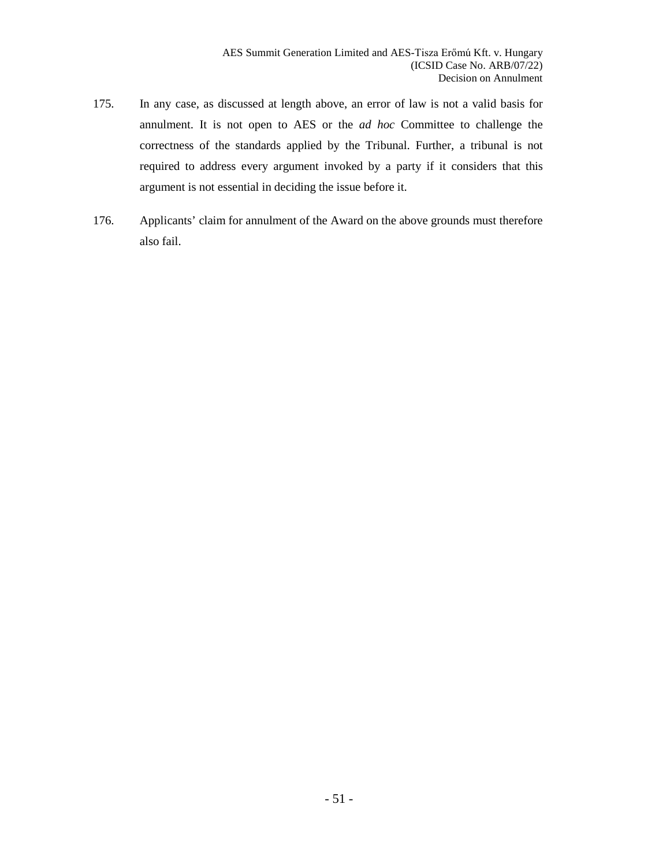- 175. In any case, as discussed at length above, an error of law is not a valid basis for annulment. It is not open to AES or the *ad hoc* Committee to challenge the correctness of the standards applied by the Tribunal. Further, a tribunal is not required to address every argument invoked by a party if it considers that this argument is not essential in deciding the issue before it.
- 176. Applicants' claim for annulment of the Award on the above grounds must therefore also fail.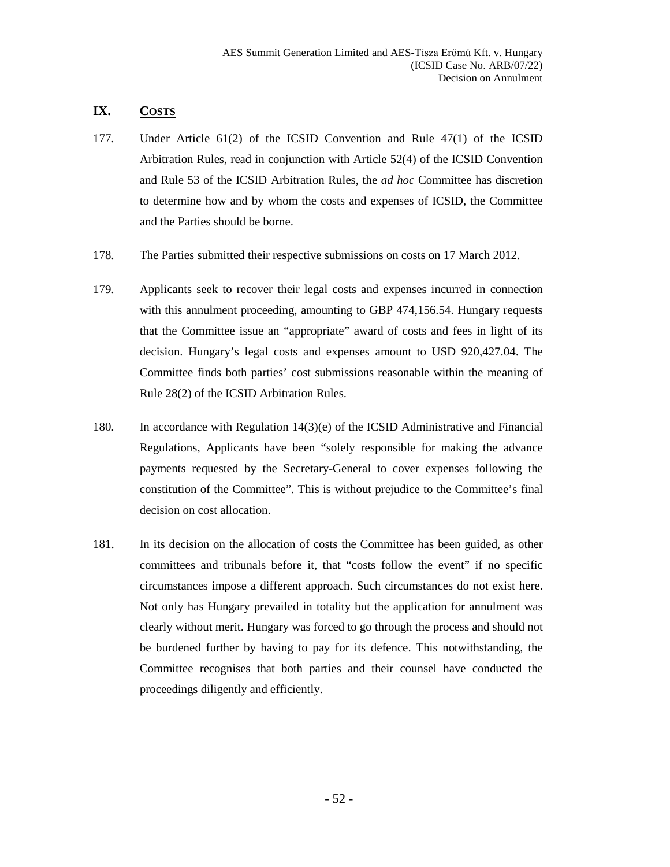# <span id="page-51-0"></span>**IX. COSTS**

- 177. Under Article 61(2) of the ICSID Convention and Rule 47(1) of the ICSID Arbitration Rules, read in conjunction with Article 52(4) of the ICSID Convention and Rule 53 of the ICSID Arbitration Rules, the *ad hoc* Committee has discretion to determine how and by whom the costs and expenses of ICSID, the Committee and the Parties should be borne.
- 178. The Parties submitted their respective submissions on costs on 17 March 2012.
- 179. Applicants seek to recover their legal costs and expenses incurred in connection with this annulment proceeding, amounting to GBP 474,156.54. Hungary requests that the Committee issue an "appropriate" award of costs and fees in light of its decision. Hungary's legal costs and expenses amount to USD 920,427.04. The Committee finds both parties' cost submissions reasonable within the meaning of Rule 28(2) of the ICSID Arbitration Rules.
- 180. In accordance with Regulation 14(3)(e) of the ICSID Administrative and Financial Regulations, Applicants have been "solely responsible for making the advance payments requested by the Secretary-General to cover expenses following the constitution of the Committee". This is without prejudice to the Committee's final decision on cost allocation.
- 181. In its decision on the allocation of costs the Committee has been guided, as other committees and tribunals before it, that "costs follow the event" if no specific circumstances impose a different approach. Such circumstances do not exist here. Not only has Hungary prevailed in totality but the application for annulment was clearly without merit. Hungary was forced to go through the process and should not be burdened further by having to pay for its defence. This notwithstanding, the Committee recognises that both parties and their counsel have conducted the proceedings diligently and efficiently.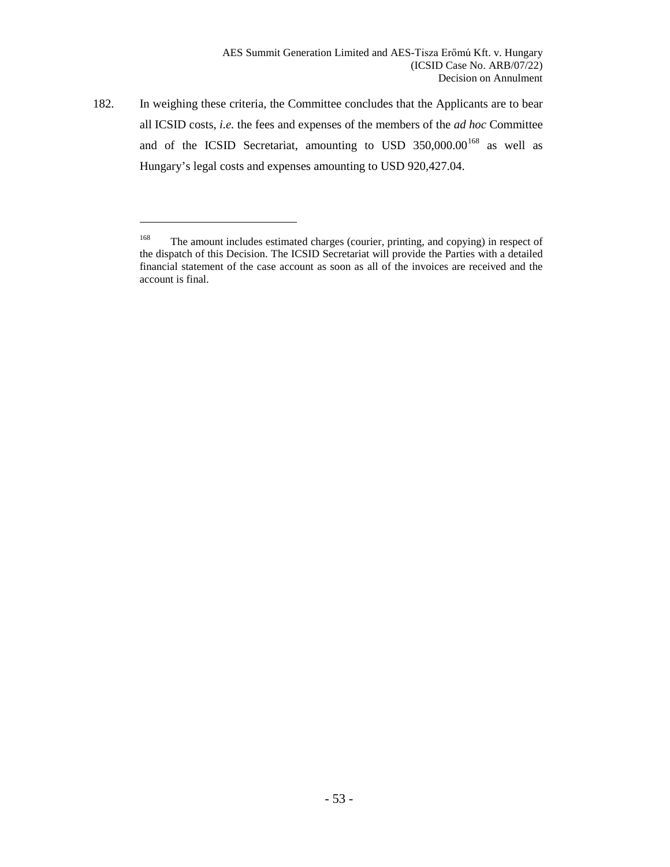182. In weighing these criteria, the Committee concludes that the Applicants are to bear all ICSID costs, *i.e.* the fees and expenses of the members of the *ad hoc* Committee and of the ICSID Secretariat, amounting to USD  $350,000.00^{168}$  $350,000.00^{168}$  $350,000.00^{168}$  as well as Hungary's legal costs and expenses amounting to USD 920,427.04.

l

<span id="page-52-0"></span><sup>&</sup>lt;sup>168</sup> The amount includes estimated charges (courier, printing, and copying) in respect of the dispatch of this Decision. The ICSID Secretariat will provide the Parties with a detailed financial statement of the case account as soon as all of the invoices are received and the account is final.